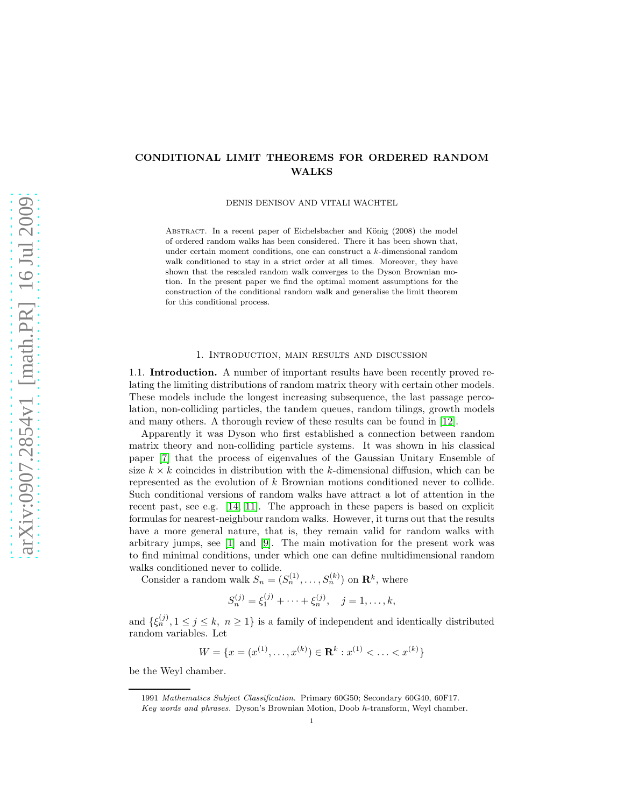# CONDITIONAL LIMIT THEOREMS FOR ORDERED RANDOM WALKS

DENIS DENISOV AND VITALI WACHTEL

ABSTRACT. In a recent paper of Eichelsbacher and König (2008) the model of ordered random walks has been considered. There it has been shown that, under certain moment conditions, one can construct a k-dimensional random walk conditioned to stay in a strict order at all times. Moreover, they have shown that the rescaled random walk converges to the Dyson Brownian motion. In the present paper we find the optimal moment assumptions for the construction of the conditional random walk and generalise the limit theorem for this conditional process.

#### 1. Introduction, main results and discussion

1.1. Introduction. A number of important results have been recently proved relating the limiting distributions of random matrix theory with certain other models. These models include the longest increasing subsequence, the last passage percolation, non-colliding particles, the tandem queues, random tilings, growth models and many others. A thorough review of these results can be found in [\[12\]](#page-25-0).

Apparently it was Dyson who first established a connection between random matrix theory and non-colliding particle systems. It was shown in his classical paper [\[7\]](#page-25-1) that the process of eigenvalues of the Gaussian Unitary Ensemble of size  $k \times k$  coincides in distribution with the k-dimensional diffusion, which can be represented as the evolution of k Brownian motions conditioned never to collide. Such conditional versions of random walks have attract a lot of attention in the recent past, see e.g. [\[14,](#page-25-2) [11\]](#page-25-3). The approach in these papers is based on explicit formulas for nearest-neighbour random walks. However, it turns out that the results have a more general nature, that is, they remain valid for random walks with arbitrary jumps, see [\[1\]](#page-25-4) and [\[9\]](#page-25-5). The main motivation for the present work was to find minimal conditions, under which one can define multidimensional random walks conditioned never to collide.

Consider a random walk  $S_n = (S_n^{(1)}, \ldots, S_n^{(k)})$  on  $\mathbb{R}^k$ , where

$$
S_n^{(j)} = \xi_1^{(j)} + \dots + \xi_n^{(j)}, \quad j = 1, \dots, k,
$$

and  $\{\xi_n^{(j)}, 1 \leq j \leq k, n \geq 1\}$  is a family of independent and identically distributed random variables. Let

$$
W = \{x = (x^{(1)}, \dots, x^{(k)}) \in \mathbf{R}^k : x^{(1)} < \dots < x^{(k)}\}
$$

be the Weyl chamber.

<sup>1991</sup> Mathematics Subject Classification. Primary 60G50; Secondary 60G40, 60F17.

Key words and phrases. Dyson's Brownian Motion, Doob h-transform, Weyl chamber.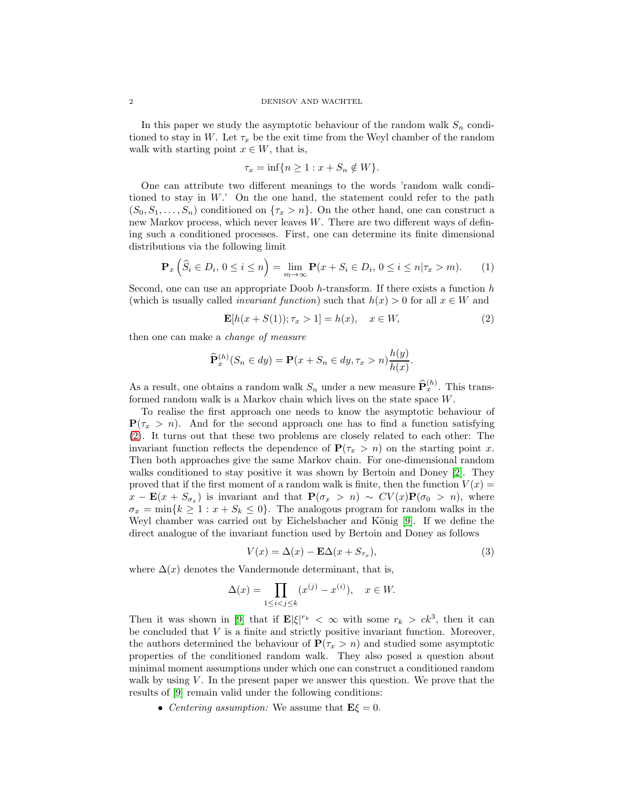In this paper we study the asymptotic behaviour of the random walk  $S_n$  conditioned to stay in W. Let  $\tau_x$  be the exit time from the Weyl chamber of the random walk with starting point  $x \in W$ , that is,

$$
\tau_x = \inf\{n \ge 1 : x + S_n \notin W\}.
$$

One can attribute two different meanings to the words 'random walk conditioned to stay in  $W$ .' On the one hand, the statement could refer to the path  $(S_0, S_1, \ldots, S_n)$  conditioned on  $\{\tau_x > n\}$ . On the other hand, one can construct a new Markov process, which never leaves W. There are two different ways of defining such a conditioned processes. First, one can determine its finite dimensional distributions via the following limit

<span id="page-1-2"></span>
$$
\mathbf{P}_x\left(\widehat{S}_i \in D_i, \, 0 \le i \le n\right) = \lim_{m \to \infty} \mathbf{P}(x + S_i \in D_i, \, 0 \le i \le n | \tau_x > m). \tag{1}
$$

Second, one can use an appropriate Doob  $h$ -transform. If there exists a function  $h$ (which is usually called *invariant function*) such that  $h(x) > 0$  for all  $x \in W$  and

<span id="page-1-0"></span>
$$
\mathbf{E}[h(x+S(1)); \tau_x > 1] = h(x), \quad x \in W,
$$
 (2)

then one can make a change of measure

$$
\widehat{\mathbf{P}}_x^{(h)}(S_n \in dy) = \mathbf{P}(x + S_n \in dy, \tau_x > n) \frac{h(y)}{h(x)}.
$$

As a result, one obtains a random walk  $S_n$  under a new measure  $\widehat{\mathbf{P}}_x^{(h)}$ . This transformed random walk is a Markov chain which lives on the state space W.

To realise the first approach one needs to know the asymptotic behaviour of  $P(\tau_x > n)$ . And for the second approach one has to find a function satisfying [\(2\)](#page-1-0). It turns out that these two problems are closely related to each other: The invariant function reflects the dependence of  $P(\tau_x > n)$  on the starting point x. Then both approaches give the same Markov chain. For one-dimensional random walks conditioned to stay positive it was shown by Bertoin and Doney [\[2\]](#page-25-6). They proved that if the first moment of a random walk is finite, then the function  $V(x)$  =  $x - \mathbf{E}(x + S_{\sigma_x})$  is invariant and that  $\mathbf{P}(\sigma_x > n) \sim CV(x)\mathbf{P}(\sigma_0 > n)$ , where  $\sigma_x = \min\{k \geq 1 : x + S_k \leq 0\}.$  The analogous program for random walks in the Weyl chamber was carried out by Eichelsbacher and König [\[9\]](#page-25-5). If we define the direct analogue of the invariant function used by Bertoin and Doney as follows

<span id="page-1-1"></span>
$$
V(x) = \Delta(x) - \mathbf{E}\Delta(x + S_{\tau_x}),\tag{3}
$$

where  $\Delta(x)$  denotes the Vandermonde determinant, that is,

$$
\Delta(x) = \prod_{1 \le i < j \le k} (x^{(j)} - x^{(i)}), \quad x \in W.
$$

Then it was shown in [\[9\]](#page-25-5) that if  $\mathbf{E}|\xi|^{r_k} < \infty$  with some  $r_k > ck^3$ , then it can be concluded that  $V$  is a finite and strictly positive invariant function. Moreover, the authors determined the behaviour of  $P(\tau_x > n)$  and studied some asymptotic properties of the conditioned random walk. They also posed a question about minimal moment assumptions under which one can construct a conditioned random walk by using  $V$ . In the present paper we answer this question. We prove that the results of [\[9\]](#page-25-5) remain valid under the following conditions:

• Centering assumption: We assume that  $\mathbf{E}\xi = 0$ .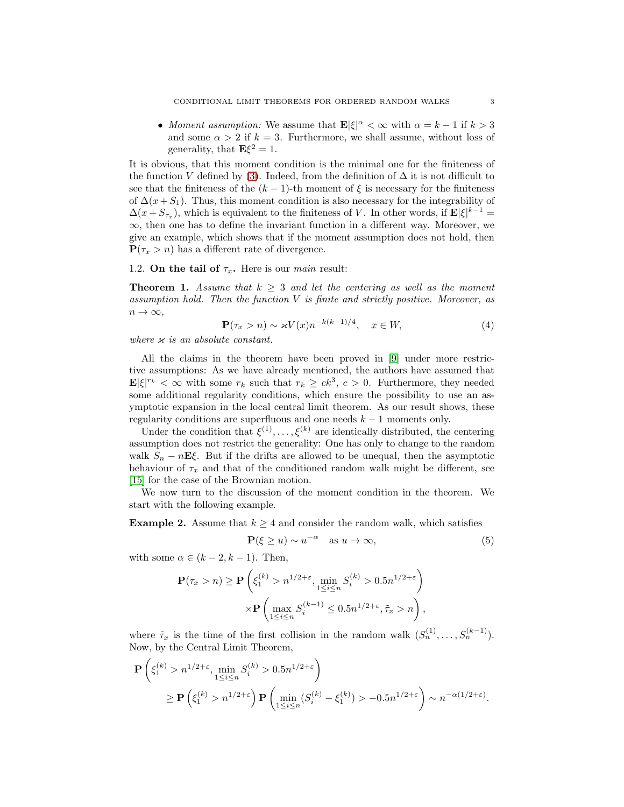• Moment assumption: We assume that  $\mathbf{E}|\xi|^{\alpha} < \infty$  with  $\alpha = k - 1$  if  $k > 3$ and some  $\alpha > 2$  if  $k = 3$ . Furthermore, we shall assume, without loss of generality, that  $\mathbf{E}\xi^2 = 1$ .

It is obvious, that this moment condition is the minimal one for the finiteness of the function V defined by [\(3\)](#page-1-1). Indeed, from the definition of  $\Delta$  it is not difficult to see that the finiteness of the  $(k-1)$ -th moment of  $\xi$  is necessary for the finiteness of  $\Delta(x+S_1)$ . Thus, this moment condition is also necessary for the integrability of  $\Delta(x + S_{\tau_x})$ , which is equivalent to the finiteness of V. In other words, if  $\mathbf{E}|\xi|^{k-1} =$  $\infty$ , then one has to define the invariant function in a different way. Moreover, we give an example, which shows that if the moment assumption does not hold, then  $P(\tau_x > n)$  has a different rate of divergence.

# 1.2. On the tail of  $\tau_x$ . Here is our *main* result:

<span id="page-2-0"></span>**Theorem 1.** Assume that  $k > 3$  and let the centering as well as the moment assumption hold. Then the function  $V$  is finite and strictly positive. Moreover, as  $n \to \infty$ ,

<span id="page-2-2"></span>
$$
\mathbf{P}(\tau_x > n) \sim \varkappa V(x) n^{-k(k-1)/4}, \quad x \in W,\tag{4}
$$

where  $\varkappa$  is an absolute constant.

All the claims in the theorem have been proved in [\[9\]](#page-25-5) under more restrictive assumptions: As we have already mentioned, the authors have assumed that  $\mathbf{E}|\xi|^{r_k} < \infty$  with some  $r_k$  such that  $r_k \ge ck^3$ ,  $c > 0$ . Furthermore, they needed some additional regularity conditions, which ensure the possibility to use an asymptotic expansion in the local central limit theorem. As our result shows, these regularity conditions are superfluous and one needs  $k - 1$  moments only.

Under the condition that  $\xi^{(1)}, \ldots, \xi^{(k)}$  are identically distributed, the centering assumption does not restrict the generality: One has only to change to the random walk  $S_n - nE\xi$ . But if the drifts are allowed to be unequal, then the asymptotic behaviour of  $\tau_x$  and that of the conditioned random walk might be different, see [\[15\]](#page-25-7) for the case of the Brownian motion.

We now turn to the discussion of the moment condition in the theorem. We start with the following example.

**Example 2.** Assume that  $k \geq 4$  and consider the random walk, which satisfies

<span id="page-2-1"></span>
$$
\mathbf{P}(\xi \ge u) \sim u^{-\alpha} \quad \text{as } u \to \infty,
$$
 (5)

with some  $\alpha \in (k-2, k-1)$ . Then,

$$
\mathbf{P}(\tau_x > n) \ge \mathbf{P}\left(\xi_1^{(k)} > n^{1/2+\varepsilon}, \min_{1 \le i \le n} S_i^{(k)} > 0.5n^{1/2+\varepsilon}\right)
$$

$$
\times \mathbf{P}\left(\max_{1 \le i \le n} S_i^{(k-1)} \le 0.5n^{1/2+\varepsilon}, \tilde{\tau}_x > n\right),
$$

where  $\tilde{\tau}_x$  is the time of the first collision in the random walk  $(S_n^{(1)}, \ldots, S_n^{(k-1)})$ . Now, by the Central Limit Theorem,

$$
\mathbf{P}\left(\xi_1^{(k)} > n^{1/2+\epsilon}, \min_{1 \le i \le n} S_i^{(k)} > 0.5n^{1/2+\epsilon}\right)
$$
  
\n
$$
\ge \mathbf{P}\left(\xi_1^{(k)} > n^{1/2+\epsilon}\right) \mathbf{P}\left(\min_{1 \le i \le n} (S_i^{(k)} - \xi_1^{(k)}) > -0.5n^{1/2+\epsilon}\right) \sim n^{-\alpha(1/2+\epsilon)}.
$$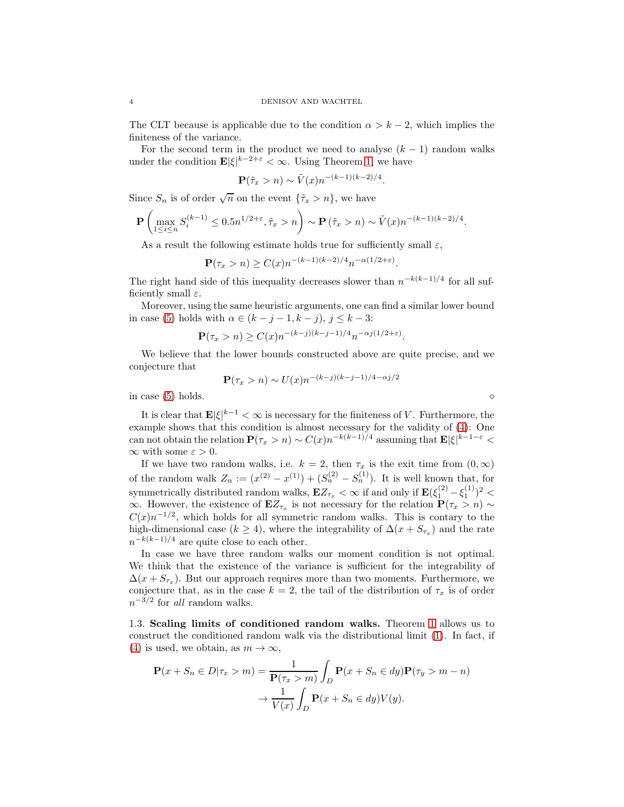The CLT because is applicable due to the condition  $\alpha > k - 2$ , which implies the finiteness of the variance.

For the second term in the product we need to analyse  $(k - 1)$  random walks under the condition  $\mathbf{E} |\xi|^{k-2+\varepsilon} < \infty$ . Using Theorem [1,](#page-2-0) we have

$$
\mathbf{P}(\tilde{\tau}_x > n) \sim \tilde{V}(x) n^{-(k-1)(k-2)/4}.
$$

Since  $S_n$  is of order  $\sqrt{n}$  on the event  $\{\tilde{\tau}_x > n\}$ , we have

$$
\mathbf{P}\left(\max_{1\leq i\leq n}S_i^{(k-1)}\leq 0.5n^{1/2+\varepsilon}, \tilde\tau_x>n\right)\sim\mathbf{P}\left(\tilde\tau_x>n\right)\sim\tilde V(x)n^{-(k-1)(k-2)/4}.
$$

As a result the following estimate holds true for sufficiently small  $\varepsilon$ ,

$$
\mathbf{P}(\tau_x > n) \ge C(x) n^{-(k-1)(k-2)/4} n^{-\alpha(1/2 + \varepsilon)}.
$$

The right hand side of this inequality decreases slower than  $n^{-k(k-1)/4}$  for all sufficiently small  $\varepsilon$ .

Moreover, using the same heuristic arguments, one can find a similar lower bound in case [\(5\)](#page-2-1) holds with  $\alpha \in (k - j - 1, k - j), j \leq k - 3$ :

$$
\mathbf{P}(\tau_x > n) \ge C(x) n^{-(k-j)(k-j-1)/4} n^{-\alpha j(1/2+\varepsilon)}.
$$

We believe that the lower bounds constructed above are quite precise, and we conjecture that

$$
\mathbf{P}(\tau_x > n) \sim U(x) n^{-(k-j)(k-j-1)/4 - \alpha j/2}
$$

in case  $(5)$  holds.

It is clear that  $\mathbf{E}|\xi|^{k-1} < \infty$  is necessary for the finiteness of V. Furthermore, the example shows that this condition is almost necessary for the validity of [\(4\)](#page-2-2): One can not obtain the relation  $P(\tau_x > n) \sim C(x) n^{-k(k-1)/4}$  assuming that  $\mathbf{E} |\xi|^{k-1-\varepsilon}$  $\infty$  with some  $\varepsilon > 0$ .

If we have two random walks, i.e.  $k = 2$ , then  $\tau_x$  is the exit time from  $(0, \infty)$ of the random walk  $Z_n := (x^{(2)} - x^{(1)}) + (S_n^{(2)} - S_n^{(1)})$ . It is well known that, for symmetrically distributed random walks,  $\mathbf{E}Z_{\tau_x} < \infty$  if and only if  $\mathbf{E}(\xi_1^{(2)} - \xi_1^{(1)})^2 <$  $\infty$ . However, the existence of  $\mathbf{E}Z_{\tau_x}$  is not necessary for the relation  $\mathbf{P}(\tau_x > n) \sim$  $C(x)n^{-1/2}$ , which holds for all symmetric random walks. This is contary to the high-dimensional case ( $k \ge 4$ ), where the integrability of  $\Delta(x + S_{\tau_x})$  and the rate  $n^{-k(k-1)/4}$  are quite close to each other.

In case we have three random walks our moment condition is not optimal. We think that the existence of the variance is sufficient for the integrability of  $\Delta(x + S_{\tau_x})$ . But our approach requires more than two moments. Furthermore, we conjecture that, as in the case  $k = 2$ , the tail of the distribution of  $\tau_x$  is of order  $n^{-3/2}$  for all random walks.

1.3. Scaling limits of conditioned random walks. Theorem [1](#page-2-0) allows us to construct the conditioned random walk via the distributional limit [\(1\)](#page-1-2). In fact, if [\(4\)](#page-2-2) is used, we obtain, as  $m \to \infty$ ,

$$
\mathbf{P}(x+S_n \in D | \tau_x > m) = \frac{1}{\mathbf{P}(\tau_x > m)} \int_D \mathbf{P}(x+S_n \in dy) \mathbf{P}(\tau_y > m - n)
$$

$$
\to \frac{1}{V(x)} \int_D \mathbf{P}(x+S_n \in dy) V(y).
$$

$$
\Diamond
$$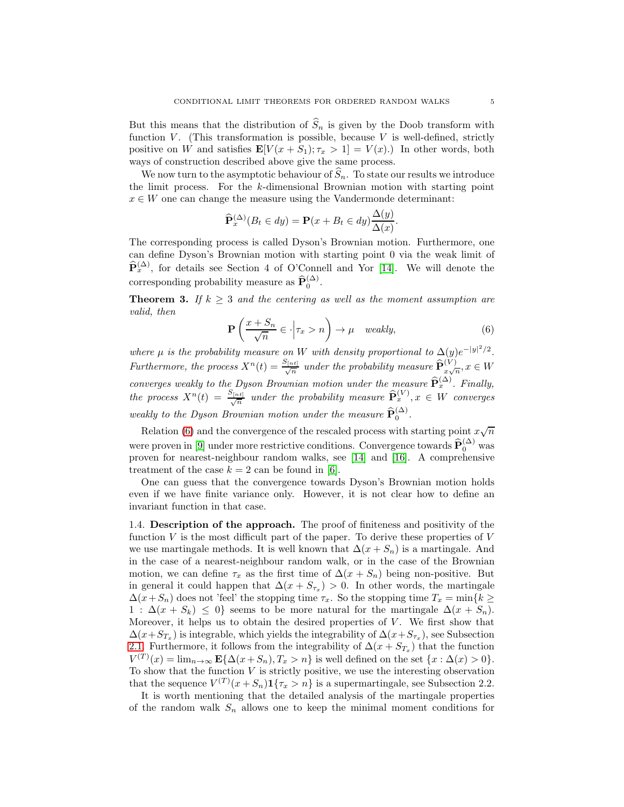But this means that the distribution of  $\widehat{S}_n$  is given by the Doob transform with function  $V$ . (This transformation is possible, because  $V$  is well-defined, strictly positive on W and satisfies  $\mathbf{E}[V(x + S_1); \tau_x > 1] = V(x)$ . In other words, both ways of construction described above give the same process.

We now turn to the asymptotic behaviour of  $\hat{S}_n$ . To state our results we introduce the limit process. For the k-dimensional Brownian motion with starting point  $x \in W$  one can change the measure using the Vandermonde determinant:

$$
\widehat{\mathbf{P}}_x^{(\Delta)}(B_t \in dy) = \mathbf{P}(x + B_t \in dy) \frac{\Delta(y)}{\Delta(x)}.
$$

The corresponding process is called Dyson's Brownian motion. Furthermore, one can define Dyson's Brownian motion with starting point 0 via the weak limit of  $\hat{\mathbf{P}}_x^{(\Delta)}$ , for details see Section 4 of O'Connell and Yor [\[14\]](#page-25-2). We will denote the corresponding probability measure as  $\widehat{\mathbf{P}}_0^{(\Delta)}$ .

**Theorem 3.** If  $k \geq 3$  and the centering as well as the moment assumption are valid, then

<span id="page-4-0"></span>
$$
\mathbf{P}\left(\frac{x+S_n}{\sqrt{n}} \in \cdot \middle| \tau_x > n\right) \to \mu \quad weakly,
$$
\n(6)

where  $\mu$  is the probability measure on W with density proportional to  $\Delta(y)e^{-|y|^2/2}$ . Furthermore, the process  $X^n(t) = \frac{S_{[nt]}}{\sqrt{n}}$  under the probability measure  $\widehat{\mathbf{P}}_{x\sqrt{n}}^{(V)}$ ,  $x \in W$ converges weakly to the Dyson Brownian motion under the measure  $\widehat{\mathbf{P}}_x^{(\Delta)}$ . Finally, the process  $X^n(t) = \frac{S_{[nt]}}{\sqrt{n}}$  under the probability measure  $\widehat{\mathbf{P}}_x^{(V)}$ ,  $x \in W$  converges weakly to the Dyson Brownian motion under the measure  $\widehat{\mathbf{P}}_0^{(\Delta)}$ .

Relation [\(6\)](#page-4-0) and the convergence of the rescaled process with starting point  $x\sqrt{n}$ were proven in [\[9\]](#page-25-5) under more restrictive conditions. Convergence towards  $\widehat{\mathbf{P}}_0^{(\Delta)}$  was proven for nearest-neighbour random walks, see [\[14\]](#page-25-2) and [\[16\]](#page-25-8). A comprehensive treatment of the case  $k = 2$  can be found in [\[6\]](#page-25-9).

One can guess that the convergence towards Dyson's Brownian motion holds even if we have finite variance only. However, it is not clear how to define an invariant function in that case.

1.4. Description of the approach. The proof of finiteness and positivity of the function  $V$  is the most difficult part of the paper. To derive these properties of  $V$ we use martingale methods. It is well known that  $\Delta(x + S_n)$  is a martingale. And in the case of a nearest-neighbour random walk, or in the case of the Brownian motion, we can define  $\tau_x$  as the first time of  $\Delta(x + S_n)$  being non-positive. But in general it could happen that  $\Delta(x + S_{\tau_x}) > 0$ . In other words, the martingale  $\Delta(x+S_n)$  does not 'feel' the stopping time  $\tau_x$ . So the stopping time  $T_x = \min\{k\geq 1\}$  $1: \Delta(x + S_k) \leq 0$ } seems to be more natural for the martingale  $\Delta(x + S_n)$ . Moreover, it helps us to obtain the desired properties of  $V$ . We first show that  $\Delta(x+S_{T_x})$  is integrable, which yields the integrability of  $\Delta(x+S_{\tau_x})$ , see Subsection [2.1.](#page-5-0) Furthermore, it follows from the integrability of  $\Delta(x + S_{T_x})$  that the function  $V^{(T)}(x) = \lim_{n \to \infty} \mathbf{E} \{ \Delta(x + S_n), T_x > n \}$  is well defined on the set  $\{x : \Delta(x) > 0\}.$ To show that the function  $V$  is strictly positive, we use the interesting observation that the sequence  $V^{(T)}(x + S_n) \mathbf{1}\{\tau_x > n\}$  is a supermartingale, see Subsection 2.2.

It is worth mentioning that the detailed analysis of the martingale properties of the random walk  $S_n$  allows one to keep the minimal moment conditions for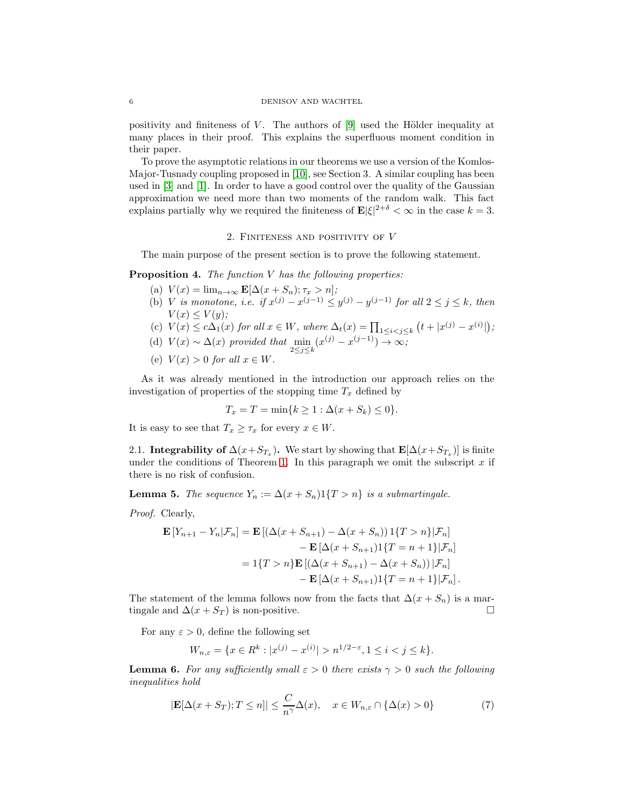### 6 DENISOV AND WACHTEL

positivity and finiteness of  $V$ . The authors of  $[9]$  used the Hölder inequality at many places in their proof. This explains the superfluous moment condition in their paper.

To prove the asymptotic relations in our theorems we use a version of the Komlos-Major-Tusnady coupling proposed in [\[10\]](#page-25-10), see Section 3. A similar coupling has been used in [\[3\]](#page-25-11) and [\[1\]](#page-25-4). In order to have a good control over the quality of the Gaussian approximation we need more than two moments of the random walk. This fact explains partially why we required the finiteness of  $\mathbf{E}|\xi|^{2+\delta} < \infty$  in the case  $k = 3$ .

### 2. FINITENESS AND POSITIVITY OF  $V$

The main purpose of the present section is to prove the following statement.

<span id="page-5-4"></span>**Proposition 4.** The function  $V$  has the following properties:

- (a)  $V(x) = \lim_{n \to \infty} \mathbf{E}[\Delta(x + S_n); \tau_x > n];$
- (b) *V* is monotone, i.e. if  $x^{(j)} x^{(j-1)} \le y^{(j)} y^{(j-1)}$  for all  $2 \le j \le k$ , then  $V(x) \leq V(y);$
- (c)  $V(x) \le c\Delta_1(x)$  for all  $x \in W$ , where  $\Delta_t(x) = \prod_{1 \le i < j \le k} (t + |x^{(j)} x^{(i)}|)$ ;
- (d)  $V(x) \sim \Delta(x)$  provided that  $\min_{2 \leq j \leq k}$  $(x^{(j)} - x^{(j-1)}) \rightarrow \infty;$
- (e)  $V(x) > 0$  for all  $x \in W$ .

As it was already mentioned in the introduction our approach relies on the investigation of properties of the stopping time  $T_x$  defined by

$$
T_x = T = \min\{k \ge 1 : \Delta(x + S_k) \le 0\}.
$$

<span id="page-5-0"></span>It is easy to see that  $T_x \geq \tau_x$  for every  $x \in W$ .

2.1. Integrability of  $\Delta(x+S_{T_x})$ . We start by showing that  $\mathbf{E}[\Delta(x+S_{T_x})]$  is finite under the conditions of Theorem [1.](#page-2-0) In this paragraph we omit the subscript  $x$  if there is no risk of confusion.

<span id="page-5-2"></span>**Lemma 5.** The sequence  $Y_n := \Delta(x + S_n)1\{T > n\}$  is a submartingale.

Proof. Clearly,

$$
\mathbf{E}\left[Y_{n+1}-Y_n|\mathcal{F}_n\right] = \mathbf{E}\left[\left(\Delta(x+S_{n+1})-\Delta(x+S_n)\right)\mathbf{1}\{T>n\}|\mathcal{F}_n\right] \n- \mathbf{E}\left[\Delta(x+S_{n+1})\mathbf{1}\{T=n+1\}|\mathcal{F}_n\right] \n= \mathbf{1}\{T>n\}\mathbf{E}\left[\left(\Delta(x+S_{n+1})-\Delta(x+S_n)\right)|\mathcal{F}_n\right] \n- \mathbf{E}\left[\Delta(x+S_{n+1})\mathbf{1}\{T=n+1\}|\mathcal{F}_n\right].
$$

The statement of the lemma follows now from the facts that  $\Delta(x + S_n)$  is a martingale and  $\Delta(x + S_T)$  is non-positive.

For any  $\varepsilon > 0$ , define the following set

$$
W_{n,\varepsilon} = \{ x \in R^k : |x^{(j)} - x^{(i)}| > n^{1/2 - \varepsilon}, 1 \le i < j \le k \}.
$$

<span id="page-5-3"></span>**Lemma 6.** For any sufficiently small  $\varepsilon > 0$  there exists  $\gamma > 0$  such the following inequalities hold

<span id="page-5-1"></span>
$$
|\mathbf{E}[\Delta(x+S_T);T\leq n]|\leq \frac{C}{n^{\gamma}}\Delta(x), \quad x\in W_{n,\varepsilon}\cap\{\Delta(x)>0\}
$$
 (7)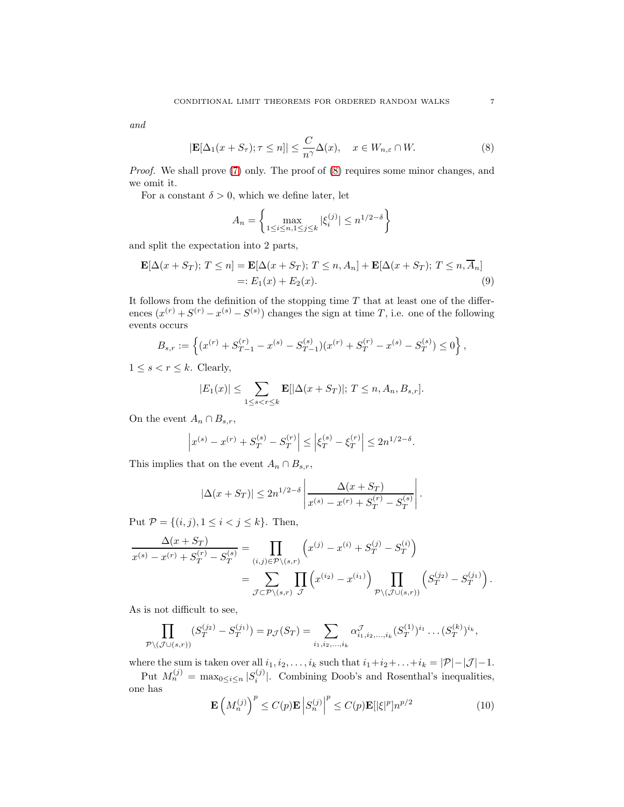and

<span id="page-6-0"></span>
$$
|\mathbf{E}[\Delta_1(x+S_\tau); \tau \le n]| \le \frac{C}{n^{\gamma}}\Delta(x), \quad x \in W_{n,\varepsilon} \cap W. \tag{8}
$$

Proof. We shall prove [\(7\)](#page-5-1) only. The proof of [\(8\)](#page-6-0) requires some minor changes, and we omit it.

For a constant  $\delta > 0$ , which we define later, let

<span id="page-6-2"></span>
$$
A_n = \left\{ \max_{1 \le i \le n, 1 \le j \le k} |\xi_i^{(j)}| \le n^{1/2 - \delta} \right\}
$$

and split the expectation into 2 parts,

$$
\mathbf{E}[\Delta(x+S_T); T \le n] = \mathbf{E}[\Delta(x+S_T); T \le n, A_n] + \mathbf{E}[\Delta(x+S_T); T \le n, \overline{A}_n]
$$
  
=:  $E_1(x) + E_2(x)$ . (9)

It follows from the definition of the stopping time  $T$  that at least one of the differences  $(x^{(r)} + S^{(r)} - x^{(s)} - S^{(s)})$  changes the sign at time T, i.e. one of the following events occurs

$$
B_{s,r} := \left\{ (x^{(r)} + S_{T-1}^{(r)} - x^{(s)} - S_{T-1}^{(s)}) (x^{(r)} + S_T^{(r)} - x^{(s)} - S_T^{(s)}) \leq 0 \right\},\,
$$

 $1 \leq s < r \leq k$ . Clearly,

$$
|E_1(x)| \le \sum_{1 \le s < r \le k} \mathbf{E}[\Delta(x+S_T)]; \ T \le n, A_n, B_{s,r}].
$$

On the event  $A_n \cap B_{s,r}$ ,

$$
\left| x^{(s)} - x^{(r)} + S_T^{(s)} - S_T^{(r)} \right| \le \left| \xi_T^{(s)} - \xi_T^{(r)} \right| \le 2n^{1/2 - \delta}.
$$

This implies that on the event  $A_n \cap B_{s,r}$ ,

$$
|\Delta(x+S_T)| \le 2n^{1/2-\delta} \left| \frac{\Delta(x+S_T)}{x^{(s)}-x^{(r)}+S_T^{(r)}-S_T^{(s)}} \right|.
$$

Put  $P = \{(i, j), 1 \le i < j \le k\}$ . Then,

$$
\frac{\Delta(x + S_T)}{x^{(s)} - x^{(r)} + S_T^{(r)} - S_T^{(s)}} = \prod_{(i,j) \in \mathcal{P} \setminus (s,r)} \left( x^{(j)} - x^{(i)} + S_T^{(j)} - S_T^{(i)} \right)
$$
\n
$$
= \sum_{\mathcal{J} \subset \mathcal{P} \setminus (s,r)} \prod_{\mathcal{J}} \left( x^{(i_2)} - x^{(i_1)} \right) \prod_{\mathcal{P} \setminus (\mathcal{J} \cup (s,r))} \left( S_T^{(j_2)} - S_T^{(j_1)} \right).
$$

As is not difficult to see,

$$
\prod_{\mathcal{P}\backslash(\mathcal{J}\cup(s,r))}(S_T^{(j_2)}-S_T^{(j_1)})=p_{\mathcal{J}}(S_T)=\sum_{i_1,i_2,\ldots,i_k}\alpha_{i_1,i_2,\ldots,i_k}^{\mathcal{J}}(S_T^{(1)})^{i_1}\ldots(S_T^{(k)})^{i_k},
$$

where the sum is taken over all  $i_1, i_2, \ldots, i_k$  such that  $i_1+i_2+\ldots+i_k = |\mathcal{P}|-|\mathcal{J}|-1$ .

Put  $M_n^{(j)} = \max_{0 \le i \le n} |S_i^{(j)}|$  $\binom{[0]}{i}$ . Combining Doob's and Rosenthal's inequalities, one has

<span id="page-6-1"></span>
$$
\mathbf{E}\left(M_n^{(j)}\right)^p \le C(p)\mathbf{E}\left|S_n^{(j)}\right|^p \le C(p)\mathbf{E}[\left|\xi\right|^p]n^{p/2} \tag{10}
$$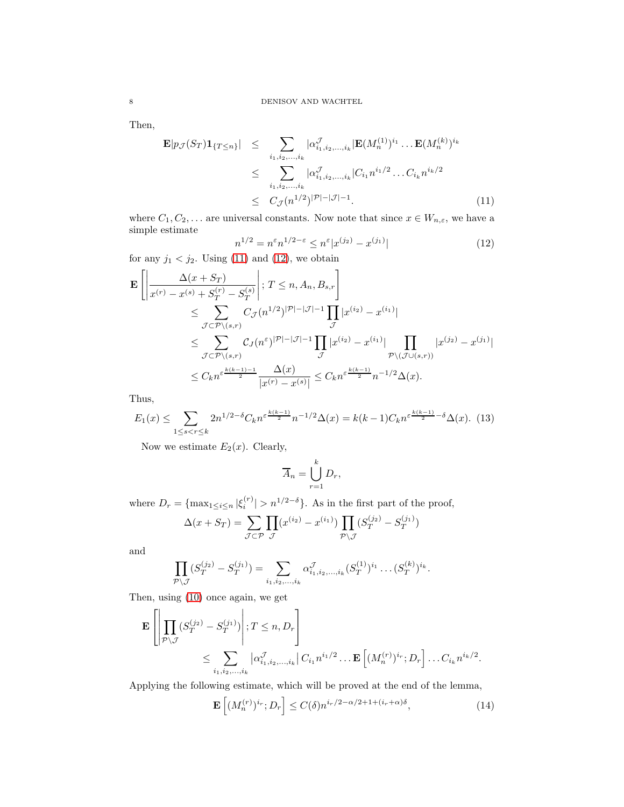Then,

<span id="page-7-0"></span>
$$
\mathbf{E}|p_{\mathcal{J}}(S_T)\mathbf{1}_{\{T\leq n\}}| \leq \sum_{i_1,i_2,...,i_k} |\alpha_{i_1,i_2,...,i_k}^{\mathcal{J}}| \mathbf{E}(M_n^{(1)})^{i_1} \dots \mathbf{E}(M_n^{(k)})^{i_k}
$$
  
\n
$$
\leq \sum_{i_1,i_2,...,i_k} |\alpha_{i_1,i_2,...,i_k}^{\mathcal{J}}| C_{i_1} n^{i_1/2} \dots C_{i_k} n^{i_k/2}
$$
  
\n
$$
\leq C_{\mathcal{J}}(n^{1/2})^{|\mathcal{P}|-|\mathcal{J}|-1}.
$$
 (11)

where  $C_1, C_2, \ldots$  are universal constants. Now note that since  $x \in W_{n,\varepsilon}$ , we have a simple estimate

<span id="page-7-1"></span>
$$
n^{1/2} = n^{\varepsilon} n^{1/2 - \varepsilon} \le n^{\varepsilon} |x^{(j_2)} - x^{(j_1)}| \tag{12}
$$

for any  $j_1 < j_2$ . Using [\(11\)](#page-7-0) and [\(12\)](#page-7-1), we obtain

$$
\mathbf{E}\left[\left|\frac{\Delta(x+S_T)}{x^{(r)}-x^{(s)}+S_T^{(r)}-S_T^{(s)}}\right|; T \leq n, A_n, B_{s,r}\right]
$$
\n
$$
\leq \sum_{\mathcal{J}\subset\mathcal{P}\backslash(s,r)} C_{\mathcal{J}}(n^{1/2})^{|\mathcal{P}|-|\mathcal{J}|-1} \prod_{\mathcal{J}} |x^{(i_2)}-x^{(i_1)}|
$$
\n
$$
\leq \sum_{\mathcal{J}\subset\mathcal{P}\backslash(s,r)} C_{\mathcal{J}}(n^{\varepsilon})^{|\mathcal{P}|-|\mathcal{J}|-1} \prod_{\mathcal{J}} |x^{(i_2)}-x^{(i_1)}| \prod_{\mathcal{P}\backslash(\mathcal{J}\cup(s,r))} |x^{(j_2)}-x^{(j_1)}|
$$
\n
$$
\leq C_k n^{\varepsilon \frac{k(k-1)-1}{2}} \frac{\Delta(x)}{|x^{(r)}-x^{(s)}|} \leq C_k n^{\varepsilon \frac{k(k-1)}{2}} n^{-1/2} \Delta(x).
$$

Thus,

<span id="page-7-2"></span>
$$
E_1(x) \le \sum_{1 \le s < r \le k} 2n^{1/2 - \delta} C_k n^{\varepsilon \frac{k(k-1)}{2}} n^{-1/2} \Delta(x) = k(k-1) C_k n^{\varepsilon \frac{k(k-1)}{2} - \delta} \Delta(x). \tag{13}
$$

Now we estimate  $E_2(x)$ . Clearly,

$$
\overline{A}_n = \bigcup_{r=1}^k D_r,
$$

where  $D_r = {\max_{1 \le i \le n} |\xi_i^{(r)}| > n^{1/2-\delta}}$ . As in the first part of the proof,

$$
\Delta(x+S_T) = \sum_{\mathcal{J}\subset \mathcal{P}} \prod_{\mathcal{J}} (x^{(i_2)} - x^{(i_1)}) \prod_{\mathcal{P}\backslash \mathcal{J}} (S_T^{(j_2)} - S_T^{(j_1)})
$$

and

$$
\prod_{\mathcal{P}\backslash\mathcal{J}}(S_T^{(j_2)}-S_T^{(j_1)})=\sum_{i_1,i_2,\dots,i_k}\alpha_{i_1,i_2,\dots,i_k}^{\mathcal{J}}(S_T^{(1)})^{i_1}\dots(S_T^{(k)})^{i_k}.
$$

Then, using [\(10\)](#page-6-1) once again, we get

$$
\mathbf{E}\left[\left|\prod_{\mathcal{P}\backslash\mathcal{J}}(S^{(j_2)}_T-S^{(j_1)}_T)\right|;T\leq n,D_r\right]
$$
  

$$
\leq \sum_{i_1,i_2,\ldots,i_k} |\alpha^{\mathcal{J}}_{i_1,i_2,\ldots,i_k}| C_{i_1}n^{i_1/2}\ldots \mathbf{E}\left[(M^{(r)}_n)^{i_r};D_r\right]\ldots C_{i_k}n^{i_k/2}.
$$

Applying the following estimate, which will be proved at the end of the lemma,

<span id="page-7-3"></span>
$$
\mathbf{E}\left[ (M_n^{(r)})^{i_r}; D_r \right] \le C(\delta) n^{i_r/2 - \alpha/2 + 1 + (i_r + \alpha)\delta}, \tag{14}
$$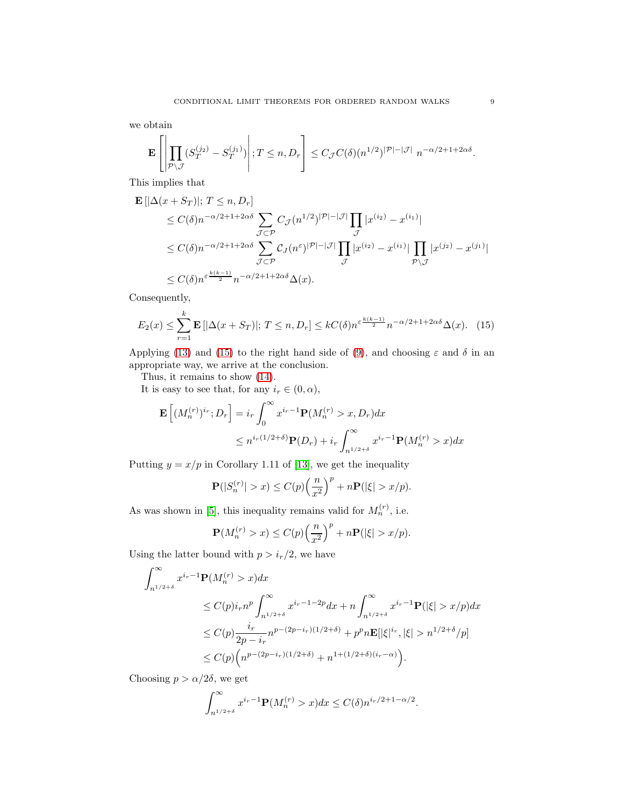we obtain

$$
\mathbf{E}\left[\left|\prod_{\mathcal{P}\backslash\mathcal{J}}(S^{(j_2)}_T-S^{(j_1)}_T)\right|;T\leq n,D_r\right]\leq C_{\mathcal{J}}C(\delta)(n^{1/2})^{|\mathcal{P}|-|\mathcal{J}|}\;n^{-\alpha/2+1+2\alpha\delta}.
$$

This implies that

$$
\mathbf{E} \left[ |\Delta(x + S_T)|; T \le n, D_r \right]
$$
  
\n
$$
\le C(\delta) n^{-\alpha/2 + 1 + 2\alpha\delta} \sum_{\mathcal{J} \subset \mathcal{P}} C_{\mathcal{J}} (n^{1/2})^{|\mathcal{P}| - |\mathcal{J}|} \prod_{\mathcal{J}} |x^{(i_2)} - x^{(i_1)}|
$$
  
\n
$$
\le C(\delta) n^{-\alpha/2 + 1 + 2\alpha\delta} \sum_{\mathcal{J} \subset \mathcal{P}} C_{\mathcal{J}} (n^{\varepsilon})^{|\mathcal{P}| - |\mathcal{J}|} \prod_{\mathcal{J}} |x^{(i_2)} - x^{(i_1)}| \prod_{\mathcal{P} \setminus \mathcal{J}} |x^{(j_2)} - x^{(j_1)}|
$$
  
\n
$$
\le C(\delta) n^{\varepsilon} \frac{k(k-1)}{2} n^{-\alpha/2 + 1 + 2\alpha\delta} \Delta(x).
$$

Consequently,

<span id="page-8-0"></span>
$$
E_2(x) \le \sum_{r=1}^k \mathbf{E} \left[ |\Delta(x + S_T)|; T \le n, D_r \right] \le kC(\delta) n^{\varepsilon \frac{k(k-1)}{2}} n^{-\alpha/2 + 1 + 2\alpha\delta} \Delta(x). \tag{15}
$$

Applying [\(13\)](#page-7-2) and [\(15\)](#page-8-0) to the right hand side of [\(9\)](#page-6-2), and choosing  $\varepsilon$  and  $\delta$  in an appropriate way, we arrive at the conclusion.

Thus, it remains to show [\(14\)](#page-7-3).

It is easy to see that, for any  $i_r \in (0, \alpha)$ ,

$$
\mathbf{E}\left[ (M_n^{(r)})^{i_r}; D_r \right] = i_r \int_0^\infty x^{i_r-1} \mathbf{P}(M_n^{(r)} > x, D_r) dx
$$
  

$$
\leq n^{i_r(1/2+\delta)} \mathbf{P}(D_r) + i_r \int_{n^{1/2+\delta}}^\infty x^{i_r-1} \mathbf{P}(M_n^{(r)} > x) dx
$$

Putting  $y = x/p$  in Corollary 1.11 of [\[13\]](#page-25-12), we get the inequality

$$
\mathbf{P}(|S_n^{(r)}| > x) \le C(p) \left(\frac{n}{x^2}\right)^p + n \mathbf{P}(|\xi| > x/p).
$$

As was shown in [\[5\]](#page-25-13), this inequality remains valid for  $M_n^{(r)}$ , i.e.

$$
\mathbf{P}(M_n^{(r)} > x) \le C(p) \left(\frac{n}{x^2}\right)^p + n \mathbf{P}(|\xi| > x/p).
$$

Using the latter bound with  $p > i_r/2$ , we have

$$
\int_{n^{1/2+\delta}}^{\infty} x^{i_r-1} \mathbf{P}(M_n^{(r)} > x) dx
$$
\n
$$
\leq C(p) i_r n^p \int_{n^{1/2+\delta}}^{\infty} x^{i_r-1-2p} dx + n \int_{n^{1/2+\delta}}^{\infty} x^{i_r-1} \mathbf{P}(|\xi| > x/p) dx
$$
\n
$$
\leq C(p) \frac{i_r}{2p - i_r} n^{p - (2p - i_r)(1/2 + \delta)} + p^p n \mathbf{E}[|\xi|^{i_r}, |\xi| > n^{1/2 + \delta}/p]
$$
\n
$$
\leq C(p) \Big( n^{p - (2p - i_r)(1/2 + \delta)} + n^{1 + (1/2 + \delta)(i_r - \alpha)} \Big).
$$

Choosing  $p > \alpha/2\delta$ , we get

$$
\int_{n^{1/2+\delta}}^{\infty} x^{i_r-1} \mathbf{P}(M_n^{(r)} > x) dx \le C(\delta) n^{i_r/2 + 1 - \alpha/2}.
$$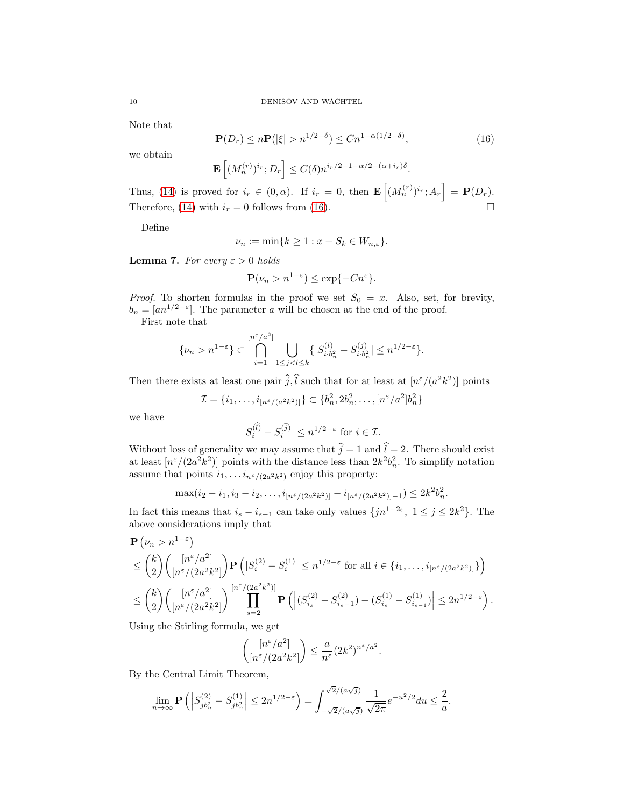Note that

<span id="page-9-0"></span>
$$
\mathbf{P}(D_r) \le n \mathbf{P}(|\xi| > n^{1/2 - \delta}) \le C n^{1 - \alpha(1/2 - \delta)},\tag{16}
$$

we obtain

$$
\mathbf{E}\left[ (M_n^{(r)})^{i_r}; D_r \right] \le C(\delta) n^{i_r/2 + 1 - \alpha/2 + (\alpha + i_r)\delta}.
$$

Thus, [\(14\)](#page-7-3) is proved for  $i_r \in (0, \alpha)$ . If  $i_r = 0$ , then  $\mathbf{E}\left[ (M_n^{(r)})^{i_r} ; A_r \right] = \mathbf{P}(D_r)$ . Therefore, [\(14\)](#page-7-3) with  $i_r = 0$  follows from [\(16\)](#page-9-0).

Define

$$
\nu_n := \min\{k \ge 1 : x + S_k \in W_{n,\varepsilon}\}.
$$

<span id="page-9-1"></span>**Lemma 7.** For every  $\varepsilon > 0$  holds

$$
\mathbf{P}(\nu_n > n^{1-\varepsilon}) \le \exp\{-Cn^{\varepsilon}\}.
$$

*Proof.* To shorten formulas in the proof we set  $S_0 = x$ . Also, set, for brevity,  $b_n = [an^{1/2-\epsilon}]$ . The parameter a will be chosen at the end of the proof.

First note that

$$
\{\nu_n > n^{1-\varepsilon}\} \subset \bigcap_{i=1}^{[n^{\varepsilon}/a^2]} \bigcup_{1 \le j < l \le k} \{|S_{i \cdot b_n^2}^{(l)} - S_{i \cdot b_n^2}^{(j)}| \le n^{1/2-\varepsilon}\}.
$$

Then there exists at least one pair  $\hat{j},\hat{l}$  such that for at least at  $[n^{\varepsilon}/(a^2k^2)]$  points

$$
\mathcal{I} = \{i_1, \ldots, i_{[n^{\varepsilon}/(a^2k^2)]}\} \subset \{b_n^2, 2b_n^2, \ldots, [n^{\varepsilon}/a^2]b_n^2\}
$$

we have

$$
|S_i^{(\widehat{l})} - S_i^{(\widehat{j})}| \le n^{1/2 - \varepsilon} \text{ for } i \in \mathcal{I}.
$$

Without loss of generality we may assume that  $\hat{j} = 1$  and  $\hat{l} = 2$ . There should exist at least  $\left[ n^{\varepsilon}/(2a^2k^2) \right]$  points with the distance less than  $2k^2b_n^2$ . To simplify notation assume that points  $i_1, \ldots, i_{n \epsilon/(2a^2k^2)}$  enjoy this property:

$$
\max(i_2 - i_1, i_3 - i_2, \dots, i_{\lfloor n^{\varepsilon}/(2a^2k^2) \rfloor} - i_{\lfloor n^{\varepsilon}/(2a^2k^2) \rfloor - 1}) \le 2k^2b_n^2.
$$

In fact this means that  $i_s - i_{s-1}$  can take only values  $\{jn^{1-2\varepsilon}, 1 \le j \le 2k^2\}$ . The above considerations imply that

$$
\mathbf{P}(\nu_n > n^{1-\varepsilon})
$$
\n
$$
\leq {k \choose 2} \left( \frac{[n^{\varepsilon}/a^2]}{[n^{\varepsilon}/(2a^2k^2]} \right) \mathbf{P}(|S_i^{(2)} - S_i^{(1)}| \leq n^{1/2-\varepsilon} \text{ for all } i \in \{i_1, \ldots, i_{[n^{\varepsilon}/(2a^2k^2)]}\} \right)
$$
\n
$$
\leq {k \choose 2} \left( \frac{[n^{\varepsilon}/a^2]}{[n^{\varepsilon}/(2a^2k^2]} \right) \prod_{s=2}^{\lfloor n^{\varepsilon}/(2a^2k^2) \rfloor} \mathbf{P}(|S_{i_s}^{(2)} - S_{i_s-1}^{(2)}) - (S_{i_s}^{(1)} - S_{i_{s-1}}^{(1)})| \leq 2n^{1/2-\varepsilon} \right).
$$

Using the Stirling formula, we get

$$
\binom{\left[n^{\varepsilon}/a^2\right]}{\left[n^{\varepsilon}/(2a^2k^2]\right)} \le \frac{a}{n^{\varepsilon}} (2k^2)^{n^{\varepsilon}/a^2}.
$$

By the Central Limit Theorem,

$$
\lim_{n \to \infty} \mathbf{P}\left( \left| S_{jb_n^2}^{(2)} - S_{jb_n^2}^{(1)} \right| \le 2n^{1/2 - \varepsilon} \right) = \int_{-\sqrt{2}/(a\sqrt{j})}^{\sqrt{2}/(a\sqrt{j})} \frac{1}{\sqrt{2\pi}} e^{-u^2/2} du \le \frac{2}{a}.
$$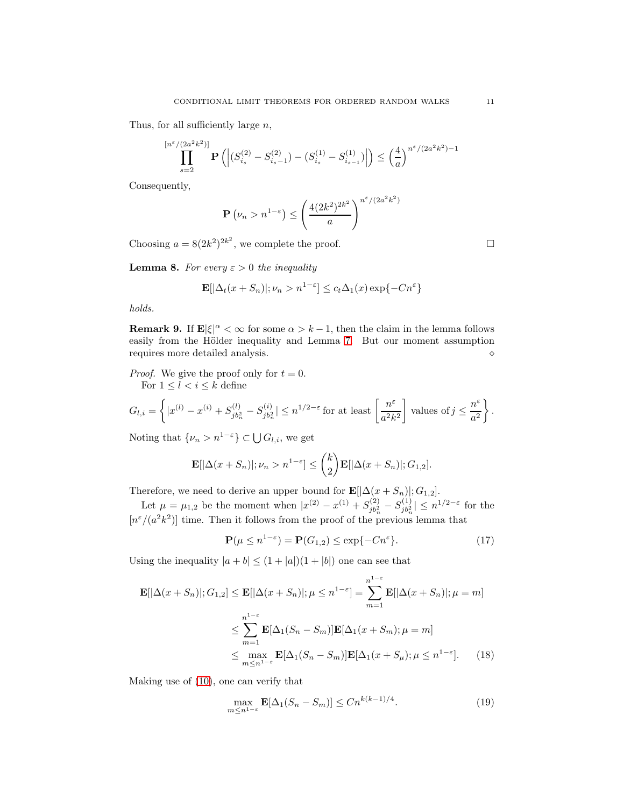Thus, for all sufficiently large  $n$ ,

$$
\prod_{s=2}^{\lfloor n^{\varepsilon}/(2a^2k^2) \rfloor} \mathbf{P}\left( \left| (S_{i_s}^{(2)} - S_{i_s-1}^{(2)}) - (S_{i_s}^{(1)} - S_{i_{s-1}}^{(1)}) \right| \right) \le \left( \frac{4}{a} \right)^{n^{\varepsilon}/(2a^2k^2) - 1}
$$

Consequently,

$$
\mathbf{P}\left(\nu_n > n^{1-\varepsilon}\right) \le \left(\frac{4(2k^2)^{2k^2}}{a}\right)^{n^{\varepsilon}/(2a^2k^2)}
$$

Choosing  $a = 8(2k^2)^{2k^2}$ , we complete the proof.

<span id="page-10-2"></span>**Lemma 8.** For every  $\varepsilon > 0$  the inequality

$$
\mathbf{E}[|\Delta_t(x+S_n)|; \nu_n > n^{1-\varepsilon}] \le c_t \Delta_1(x) \exp\{-Cn^{\varepsilon}\}\
$$

holds.

**Remark 9.** If  $\mathbf{E}|\xi|^{\alpha} < \infty$  for some  $\alpha > k-1$ , then the claim in the lemma follows easily from the Hölder inequality and Lemma [7.](#page-9-1) But our moment assumption requires more detailed analysis. <br>  $\diamond$ 

*Proof.* We give the proof only for  $t = 0$ . For  $1\leq l< i\leq k$  define

$$
G_{l,i} = \left\{ |x^{(l)} - x^{(i)} + S_{jb_n^2}^{(l)} - S_{jb_n^2}^{(i)}| \le n^{1/2 - \varepsilon} \text{ for at least } \left[\frac{n^{\varepsilon}}{a^2 k^2}\right] \text{ values of } j \le \frac{n^{\varepsilon}}{a^2} \right\}.
$$

Noting that  $\{\nu_n > n^{1-\varepsilon}\}\subset \bigcup G_{l,i}$ , we get

$$
\mathbf{E}[|\Delta(x+S_n)|;\nu_n>n^{1-\varepsilon}]\leq {k\choose 2}\mathbf{E}[|\Delta(x+S_n)|;G_{1,2}].
$$

Therefore, we need to derive an upper bound for  $\mathbf{E}[\Delta(x + S_n)], G_{1,2}].$ 

Let  $\mu = \mu_{1,2}$  be the moment when  $|x^{(2)} - x^{(1)} + S_{jb_n^2}^{(2)}$  $S_{jb_n^2}^{(2)}-S_{jb_n^2}^{(1)}$  $|j_{b_n}^{(1)}| \leq n^{1/2-\varepsilon}$  for the  $[n^{\varepsilon}/(a^2k^2)]$  time. Then it follows from the proof of the previous lemma that

$$
\mathbf{P}(\mu \le n^{1-\varepsilon}) = \mathbf{P}(G_{1,2}) \le \exp\{-Cn^{\varepsilon}\}. \tag{17}
$$

Using the inequality  $|a + b| \leq (1 + |a|)(1 + |b|)$  one can see that

$$
\mathbf{E}[|\Delta(x+S_n)|; G_{1,2}] \le \mathbf{E}[|\Delta(x+S_n)|; \mu \le n^{1-\varepsilon}] = \sum_{m=1}^{n^{1-\varepsilon}} \mathbf{E}[|\Delta(x+S_n)|; \mu = m]
$$
  

$$
\le \sum_{m=1}^{n^{1-\varepsilon}} \mathbf{E}[\Delta_1(S_n-S_m)] \mathbf{E}[\Delta_1(x+S_m); \mu = m]
$$
  

$$
\le \max_{m \le n^{1-\varepsilon}} \mathbf{E}[\Delta_1(S_n-S_m)] \mathbf{E}[\Delta_1(x+S_\mu); \mu \le n^{1-\varepsilon}].
$$
 (18)

Making use of [\(10\)](#page-6-1), one can verify that

<span id="page-10-1"></span><span id="page-10-0"></span>
$$
\max_{m \le n^{1-\varepsilon}} \mathbf{E}[\Delta_1(S_n - S_m)] \le C n^{k(k-1)/4}.
$$
\n(19)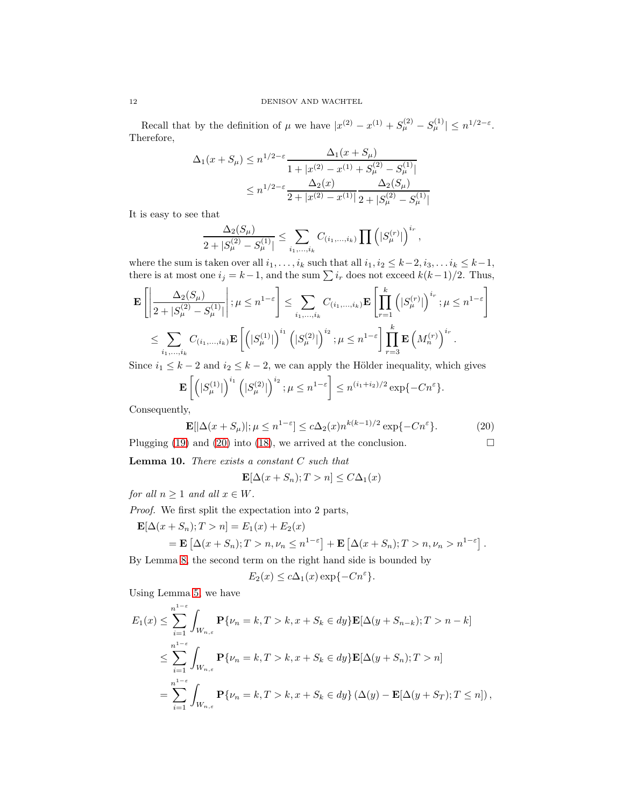Recall that by the definition of  $\mu$  we have  $|x^{(2)} - x^{(1)} + S_{\mu}^{(2)} - S_{\mu}^{(1)}| \leq n^{1/2-\varepsilon}$ . Therefore,

$$
\Delta_1(x+S_\mu) \le n^{1/2-\varepsilon} \frac{\Delta_1(x+S_\mu)}{1+|x^{(2)}-x^{(1)}+S_\mu^{(2)}-S_\mu^{(1)}|}
$$
  

$$
\le n^{1/2-\varepsilon} \frac{\Delta_2(x)}{2+|x^{(2)}-x^{(1)}|} \frac{\Delta_2(S_\mu)}{2+|S_\mu^{(2)}-S_\mu^{(1)}|}
$$

It is easy to see that

$$
\frac{\Delta_2(S_\mu)}{2+|S_\mu^{(2)}-S_\mu^{(1)}|} \le \sum_{i_1,\dots,i_k} C_{(i_1,\dots,i_k)} \prod (|S_\mu^{(r)}|)^{i_r},
$$

where the sum is taken over all  $i_1, \ldots, i_k$  such that all  $i_1, i_2 \leq k-2, i_3, \ldots i_k \leq k-1$ , there is at most one  $i_j = k-1$ , and the sum  $\sum i_r$  does not exceed  $k(k-1)/2$ . Thus,

$$
\mathbf{E}\left[\left|\frac{\Delta_{2}(S_{\mu})}{2+|S_{\mu}^{(2)}-S_{\mu}^{(1)}|}\right|;\mu\leq n^{1-\varepsilon}\right] \leq \sum_{i_{1},...,i_{k}} C_{(i_{1},...,i_{k})} \mathbf{E}\left[\prod_{r=1}^{k} (|S_{\mu}^{(r)}|)^{i_{r}}; \mu\leq n^{1-\varepsilon}\right]
$$
  

$$
\leq \sum_{i_{1},...,i_{k}} C_{(i_{1},...,i_{k})} \mathbf{E}\left[\left(|S_{\mu}^{(1)}|\right)^{i_{1}} (|S_{\mu}^{(2)}|)^{i_{2}}; \mu\leq n^{1-\varepsilon}\right] \prod_{r=3}^{k} \mathbf{E}\left(M_{n}^{(r)}\right)^{i_{r}}.
$$

Since  $i_1 \leq k-2$  and  $i_2 \leq k-2$ , we can apply the Hölder inequality, which gives

$$
\mathbf{E}\left[\left(|S_{\mu}^{(1)}|\right)^{i_1}\left(|S_{\mu}^{(2)}|\right)^{i_2}; \mu \leq n^{1-\varepsilon}\right] \leq n^{(i_1+i_2)/2} \exp\{-Cn^{\varepsilon}\}.
$$

Consequently,

<span id="page-11-0"></span>
$$
\mathbf{E}[|\Delta(x+S_{\mu})|; \mu \le n^{1-\varepsilon}] \le c\Delta_2(x)n^{k(k-1)/2} \exp\{-Cn^{\varepsilon}\}. \tag{20}
$$

Plugging [\(19\)](#page-10-0) and [\(20\)](#page-11-0) into [\(18\)](#page-10-1), we arrived at the conclusion.  $\square$ 

<span id="page-11-1"></span>**Lemma 10.** There exists a constant  $C$  such that

$$
\mathbf{E}[\Delta(x+S_n);T>n] \le C\Delta_1(x)
$$

for all  $n \geq 1$  and all  $x \in W$ .

Proof. We first split the expectation into 2 parts,

$$
\mathbf{E}[\Delta(x+S_n);T > n] = E_1(x) + E_2(x)
$$
  
=  $\mathbf{E}[\Delta(x+S_n);T > n, \nu_n \le n^{1-\varepsilon}] + \mathbf{E}[\Delta(x+S_n);T > n, \nu_n > n^{1-\varepsilon}].$ 

By Lemma [8,](#page-10-2) the second term on the right hand side is bounded by

$$
E_2(x) \le c\Delta_1(x) \exp\{-Cn^{\varepsilon}\}.
$$

Using Lemma [5,](#page-5-2) we have

$$
E_1(x) \leq \sum_{i=1}^{n^{1-\varepsilon}} \int_{W_{n,\varepsilon}} \mathbf{P}\{\nu_n = k, T > k, x + S_k \in dy\} \mathbf{E}[\Delta(y + S_{n-k}); T > n - k]
$$
  

$$
\leq \sum_{i=1}^{n^{1-\varepsilon}} \int_{W_{n,\varepsilon}} \mathbf{P}\{\nu_n = k, T > k, x + S_k \in dy\} \mathbf{E}[\Delta(y + S_n); T > n]
$$
  

$$
= \sum_{i=1}^{n^{1-\varepsilon}} \int_{W_{n,\varepsilon}} \mathbf{P}\{\nu_n = k, T > k, x + S_k \in dy\} (\Delta(y) - \mathbf{E}[\Delta(y + S_T); T \leq n]),
$$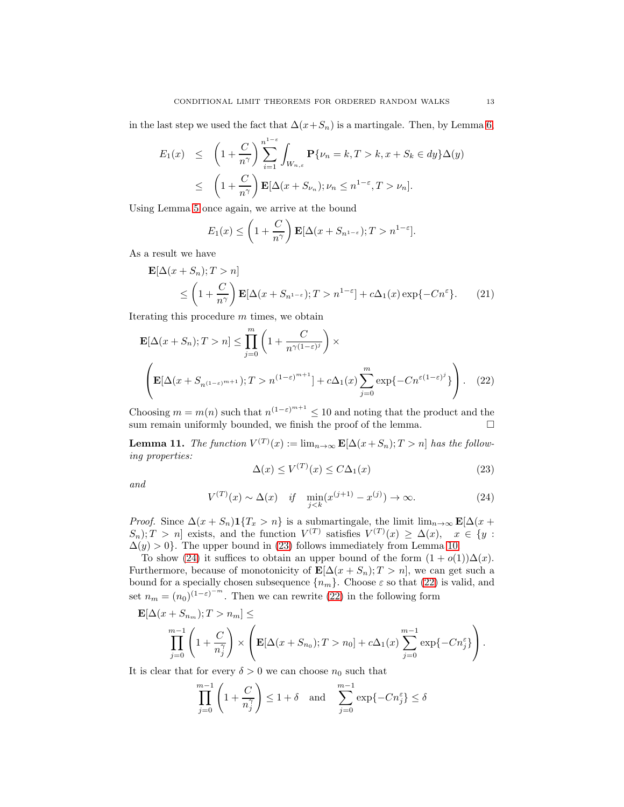in the last step we used the fact that  $\Delta(x+S_n)$  is a martingale. Then, by Lemma [6,](#page-5-3)

$$
E_1(x) \leq \left(1 + \frac{C}{n^{\gamma}}\right) \sum_{i=1}^{n^{1-\varepsilon}} \int_{W_{n,\varepsilon}} \mathbf{P}\{\nu_n = k, T > k, x + S_k \in dy\} \Delta(y)
$$
  

$$
\leq \left(1 + \frac{C}{n^{\gamma}}\right) \mathbf{E}[\Delta(x + S_{\nu_n}); \nu_n \leq n^{1-\varepsilon}, T > \nu_n].
$$

Using Lemma [5](#page-5-2) once again, we arrive at the bound

$$
E_1(x) \le \left(1 + \frac{C}{n^{\gamma}}\right) \mathbf{E}[\Delta(x + S_{n^{1-\varepsilon}}); T > n^{1-\varepsilon}].
$$

As a result we have

$$
\mathbf{E}[\Delta(x+S_n);T > n] \le \left(1 + \frac{C}{n^{\gamma}}\right) \mathbf{E}[\Delta(x+S_{n^{1-\varepsilon}});T > n^{1-\varepsilon}] + c\Delta_1(x) \exp\{-Cn^{\varepsilon}\}. \tag{21}
$$

Iterating this procedure m times, we obtain

$$
\mathbf{E}[\Delta(x+S_n);T>n] \le \prod_{j=0}^m \left(1 + \frac{C}{n^{\gamma(1-\varepsilon)^j}}\right) \times \left(\mathbf{E}[\Delta(x+S_{n^{(1-\varepsilon)^{m+1}}});T>n^{(1-\varepsilon)^{m+1}}] + c\Delta_1(x)\sum_{j=0}^m \exp\{-Cn^{\varepsilon(1-\varepsilon)^j}\}\right).
$$
 (22)

Choosing  $m = m(n)$  such that  $n^{(1-\varepsilon)^{m+1}} \leq 10$  and noting that the product and the sum remain uniformly bounded, we finish the proof of the lemma.  $\Box$ 

**Lemma 11.** The function  $V^{(T)}(x) := \lim_{n \to \infty} \mathbf{E}[\Delta(x+S_n); T > n]$  has the following properties:

<span id="page-12-2"></span><span id="page-12-0"></span>
$$
\Delta(x) \le V^{(T)}(x) \le C\Delta_1(x) \tag{23}
$$

and

<span id="page-12-1"></span>
$$
V^{(T)}(x) \sim \Delta(x) \quad \text{if} \quad \min_{j < k} (x^{(j+1)} - x^{(j)}) \to \infty. \tag{24}
$$

*Proof.* Since  $\Delta(x + S_n) \mathbf{1}\{T_x > n\}$  is a submartingale, the limit  $\lim_{n\to\infty} \mathbf{E}[\Delta(x + S_n) \mathbf{1}\{T_x > n\}]$  $S_n$ ; T > n exists, and the function  $V^{(T)}$  satisfies  $V^{(T)}(x) \geq \Delta(x)$ ,  $x \in \{y :$  $\Delta(y) > 0$ . The upper bound in [\(23\)](#page-12-0) follows immediately from Lemma [10.](#page-11-1)

To show [\(24\)](#page-12-1) it suffices to obtain an upper bound of the form  $(1 + o(1))\Delta(x)$ . Furthermore, because of monotonicity of  $\mathbf{E}[\Delta(x+S_n);T>n]$ , we can get such a bound for a specially chosen subsequence  $\{n_m\}$ . Choose  $\varepsilon$  so that [\(22\)](#page-12-2) is valid, and set  $n_m = (n_0)^{(1-\varepsilon)^{-m}}$ . Then we can rewrite [\(22\)](#page-12-2) in the following form

$$
\mathbf{E}[\Delta(x+S_{n_m});T>n_m] \le
$$
  

$$
\prod_{j=0}^{m-1} \left(1+\frac{C}{n_j^{\gamma}}\right) \times \left(\mathbf{E}[\Delta(x+S_{n_0});T>n_0] + c\Delta_1(x)\sum_{j=0}^{m-1} \exp\{-Cn_j^{\varepsilon}\}\right).
$$

It is clear that for every  $\delta > 0$  we can choose  $n_0$  such that

$$
\prod_{j=0}^{m-1} \left( 1 + \frac{C}{n_j^{\gamma}} \right) \le 1 + \delta \quad \text{and} \quad \sum_{j=0}^{m-1} \exp\{-Cn_j^{\varepsilon}\} \le \delta
$$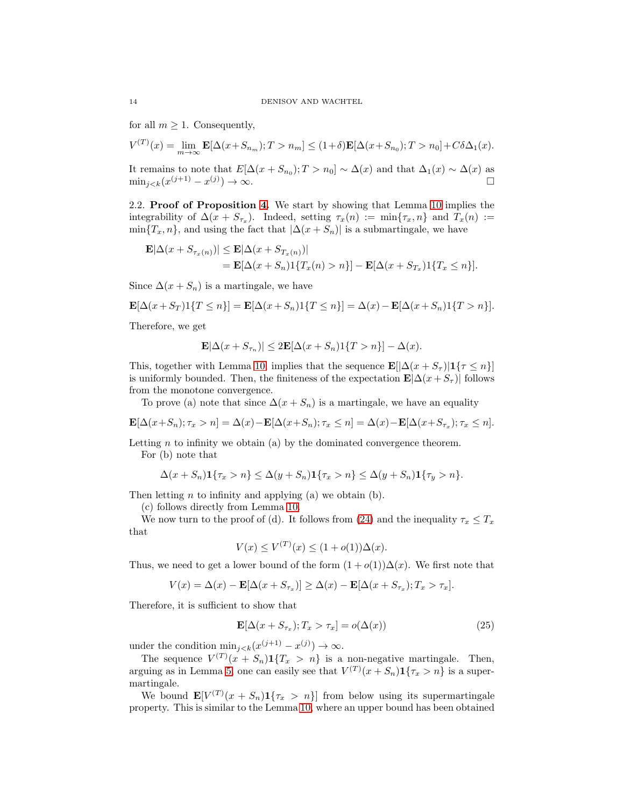for all  $m \geq 1$ . Consequently,

$$
V^{(T)}(x) = \lim_{m \to \infty} \mathbf{E}[\Delta(x + S_{n_m}); T > n_m] \le (1 + \delta) \mathbf{E}[\Delta(x + S_{n_0}); T > n_0] + C\delta\Delta_1(x).
$$

It remains to note that  $E[\Delta(x + S_{n_0}); T > n_0] \sim \Delta(x)$  and that  $\Delta_1(x) \sim \Delta(x)$  as  $\min_{j < k} (x^{(j+1)} - x^{(j)})$  $) \rightarrow \infty.$ 

2.2. Proof of Proposition [4.](#page-5-4) We start by showing that Lemma [10](#page-11-1) implies the integrability of  $\Delta(x + S_{\tau_x})$ . Indeed, setting  $\tau_x(n) := \min\{\tau_x, n\}$  and  $T_x(n) :=$  $\min\{T_x, n\}$ , and using the fact that  $|\Delta(x + S_n)|$  is a submartingale, we have

$$
\mathbf{E}|\Delta(x+S_{\tau_x(n)})| \leq \mathbf{E}|\Delta(x+S_{T_x(n)})|
$$
  
=  $\mathbf{E}[\Delta(x+S_n)1\{T_x(n)>n\}] - \mathbf{E}[\Delta(x+S_{T_x})1\{T_x\leq n\}].$ 

Since  $\Delta(x + S_n)$  is a martingale, we have

$$
\mathbf{E}[\Delta(x+S_T)\mathbf{1}\{T\leq n\}] = \mathbf{E}[\Delta(x+S_n)\mathbf{1}\{T\leq n\}] = \Delta(x) - \mathbf{E}[\Delta(x+S_n)\mathbf{1}\{T>n\}].
$$

Therefore, we get

$$
\mathbf{E}|\Delta(x+S_{\tau_n})| \le 2\mathbf{E}[\Delta(x+S_n)1\{T>n\}] - \Delta(x).
$$

This, together with Lemma [10,](#page-11-1) implies that the sequence  $\mathbf{E}[|\Delta(x + S_{\tau})|] \{ \tau \leq n \}]$ is uniformly bounded. Then, the finiteness of the expectation  $\mathbf{E}|\Delta(x + S_{\tau})|$  follows from the monotone convergence.

To prove (a) note that since  $\Delta(x + S_n)$  is a martingale, we have an equality

$$
\mathbf{E}[\Delta(x+S_n); \tau_x > n] = \Delta(x) - \mathbf{E}[\Delta(x+S_n); \tau_x \le n] = \Delta(x) - \mathbf{E}[\Delta(x+S_{\tau_x}); \tau_x \le n].
$$

Letting  $n$  to infinity we obtain (a) by the dominated convergence theorem.

For (b) note that

$$
\Delta(x+S_n)\mathbf{1}\{\tau_x>n\}\leq \Delta(y+S_n)\mathbf{1}\{\tau_x>n\}\leq \Delta(y+S_n)\mathbf{1}\{\tau_y>n\}.
$$

Then letting  $n$  to infinity and applying (a) we obtain (b).

(c) follows directly from Lemma [10.](#page-11-1)

We now turn to the proof of (d). It follows from [\(24\)](#page-12-1) and the inequality  $\tau_x \leq T_x$ that

$$
V(x) \le V^{(T)}(x) \le (1 + o(1))\Delta(x).
$$

Thus, we need to get a lower bound of the form  $(1 + o(1))\Delta(x)$ . We first note that

$$
V(x) = \Delta(x) - \mathbf{E}[\Delta(x + S_{\tau_x})] \ge \Delta(x) - \mathbf{E}[\Delta(x + S_{\tau_x}); T_x > \tau_x].
$$

Therefore, it is sufficient to show that

<span id="page-13-0"></span>
$$
\mathbf{E}[\Delta(x + S_{\tau_x}); T_x > \tau_x] = o(\Delta(x))
$$
\n(25)

under the condition  $\min_{j \leq k} (x^{(j+1)} - x^{(j)}) \to \infty$ .

The sequence  $V^{(T)}(x + S_n) \mathbf{1}\{T_x > n\}$  is a non-negative martingale. Then, arguing as in Lemma [5,](#page-5-2) one can easily see that  $V^{(T)}(x + S_n) \mathbf{1}\{\tau_x > n\}$  is a supermartingale.

We bound  $\mathbf{E}[V^{(T)}(x + S_n) \mathbf{1}\{\tau_x > n\}]$  from below using its supermartingale property. This is similar to the Lemma [10,](#page-11-1) where an upper bound has been obtained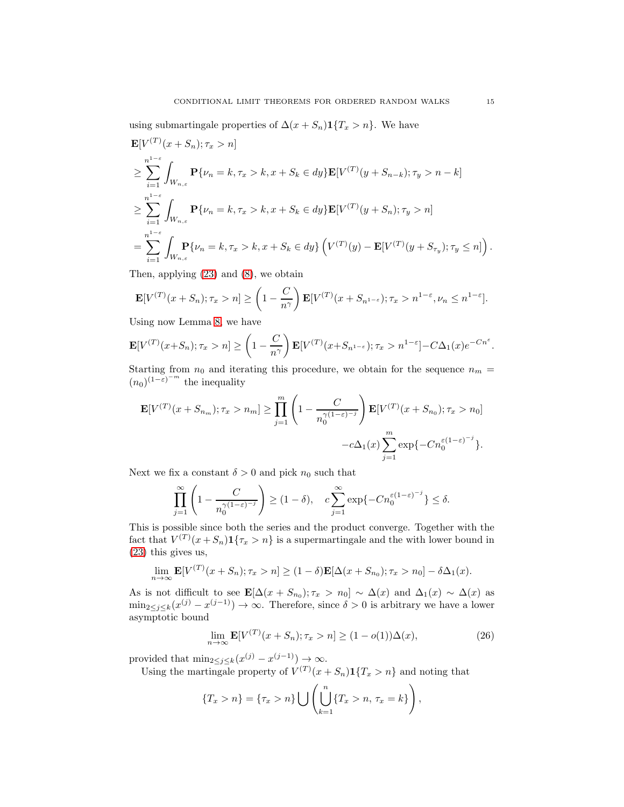using submartingale properties of  $\Delta(x + S_n) \mathbf{1}\{T_x > n\}$ . We have

$$
\mathbf{E}[V^{(T)}(x + S_n); \tau_x > n]
$$
\n
$$
\geq \sum_{i=1}^{n^{1-\epsilon}} \int_{W_{n,\epsilon}} \mathbf{P}\{\nu_n = k, \tau_x > k, x + S_k \in dy\} \mathbf{E}[V^{(T)}(y + S_{n-k}); \tau_y > n - k]
$$
\n
$$
\geq \sum_{i=1}^{n^{1-\epsilon}} \int_{W_{n,\epsilon}} \mathbf{P}\{\nu_n = k, \tau_x > k, x + S_k \in dy\} \mathbf{E}[V^{(T)}(y + S_n); \tau_y > n]
$$
\n
$$
= \sum_{i=1}^{n^{1-\epsilon}} \int_{W_{n,\epsilon}} \mathbf{P}\{\nu_n = k, \tau_x > k, x + S_k \in dy\} \left( V^{(T)}(y) - \mathbf{E}[V^{(T)}(y + S_{\tau_y}); \tau_y \leq n] \right).
$$

Then, applying [\(23\)](#page-12-0) and [\(8\)](#page-6-0), we obtain

$$
\mathbf{E}[V^{(T)}(x+S_n); \tau_x > n] \ge \left(1 - \frac{C}{n^{\gamma}}\right) \mathbf{E}[V^{(T)}(x+S_{n^{1-\varepsilon}}); \tau_x > n^{1-\varepsilon}, \nu_n \le n^{1-\varepsilon}].
$$

Using now Lemma [8,](#page-10-2) we have

$$
\mathbf{E}[V^{(T)}(x+S_n); \tau_x > n] \geq \left(1 - \frac{C}{n^{\gamma}}\right) \mathbf{E}[V^{(T)}(x+S_{n^{1-\epsilon}}); \tau_x > n^{1-\varepsilon}] - C\Delta_1(x)e^{-Cn^{\varepsilon}}.
$$

Starting from  $n_0$  and iterating this procedure, we obtain for the sequence  $n_m =$  $(n_0)^{(1-\epsilon)^{-m}}$  the inequality

$$
\mathbf{E}[V^{(T)}(x + S_{n_m}); \tau_x > n_m] \ge \prod_{j=1}^m \left(1 - \frac{C}{n_0^{\gamma(1-\varepsilon)-j}}\right) \mathbf{E}[V^{(T)}(x + S_{n_0}); \tau_x > n_0] - c\Delta_1(x) \sum_{j=1}^m \exp\{-Cn_0^{\varepsilon(1-\varepsilon)-j}\}.
$$

Next we fix a constant  $\delta > 0$  and pick  $n_0$  such that

$$
\prod_{j=1}^{\infty}\left(1-\frac{C}{n_0^{\gamma(1-\varepsilon)^{-j}}}\right)\geq (1-\delta),\quad c\sum_{j=1}^{\infty}\exp\{-Cn_0^{\varepsilon(1-\varepsilon)^{-j}}\}\leq \delta.
$$

This is possible since both the series and the product converge. Together with the fact that  $V^{(T)}(x+S_n) \mathbf{1}\{\tau_x > n\}$  is a supermartingale and the with lower bound in [\(23\)](#page-12-0) this gives us,

$$
\lim_{n \to \infty} \mathbf{E}[V^{(T)}(x + S_n); \tau_x > n] \ge (1 - \delta) \mathbf{E}[\Delta(x + S_{n_0}); \tau_x > n_0] - \delta \Delta_1(x).
$$

As is not difficult to see  $\mathbf{E}[\Delta(x + S_{n_0}); \tau_x > n_0] \sim \Delta(x)$  and  $\Delta_1(x) \sim \Delta(x)$  as  $\min_{2 \leq j \leq k} (x^{(j)} - x^{(j-1)}) \to \infty$ . Therefore, since  $\delta > 0$  is arbitrary we have a lower asymptotic bound

<span id="page-14-0"></span>
$$
\lim_{n \to \infty} \mathbf{E}[V^{(T)}(x + S_n); \tau_x > n] \ge (1 - o(1))\Delta(x), \tag{26}
$$

provided that  $\min_{2 \leq j \leq k} (x^{(j)} - x^{(j-1)}) \rightarrow \infty$ .

Using the martingale property of  $V^{(T)}(x + S_n) \mathbf{1}\{T_x > n\}$  and noting that

$$
\{T_x > n\} = \{\tau_x > n\} \bigcup \left( \bigcup_{k=1}^n \{T_x > n, \, \tau_x = k\} \right),
$$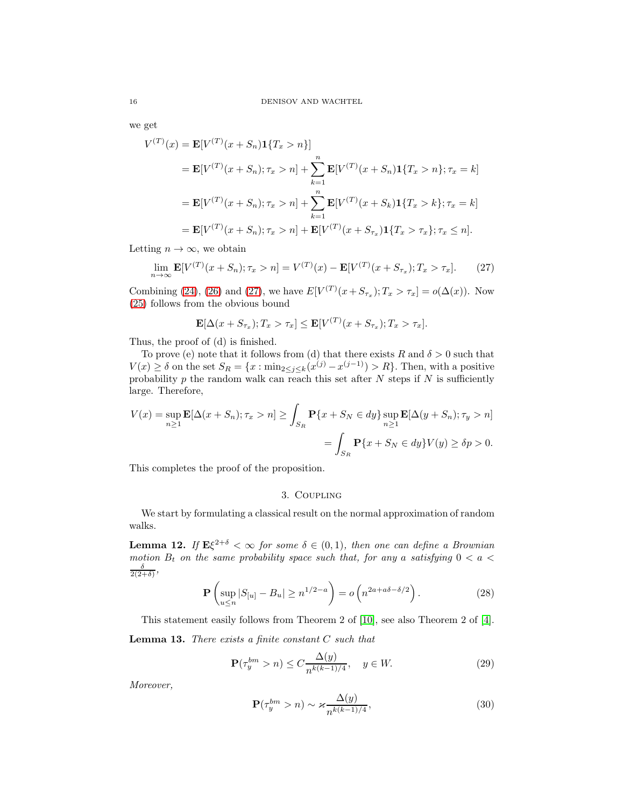we get

$$
V^{(T)}(x) = \mathbf{E}[V^{(T)}(x+S_n)\mathbf{1}\{T_x > n\}]
$$
  
=  $\mathbf{E}[V^{(T)}(x+S_n); \tau_x > n] + \sum_{k=1}^n \mathbf{E}[V^{(T)}(x+S_n)\mathbf{1}\{T_x > n\}; \tau_x = k]$   
=  $\mathbf{E}[V^{(T)}(x+S_n); \tau_x > n] + \sum_{k=1}^n \mathbf{E}[V^{(T)}(x+S_k)\mathbf{1}\{T_x > k\}; \tau_x = k]$   
=  $\mathbf{E}[V^{(T)}(x+S_n); \tau_x > n] + \mathbf{E}[V^{(T)}(x+S_{\tau_x})\mathbf{1}\{T_x > \tau_x\}; \tau_x \le n].$ 

Letting  $n \to \infty$ , we obtain

<span id="page-15-0"></span>
$$
\lim_{n \to \infty} \mathbf{E}[V^{(T)}(x + S_n); \tau_x > n] = V^{(T)}(x) - \mathbf{E}[V^{(T)}(x + S_{\tau_x}); T_x > \tau_x]. \tag{27}
$$

Combining [\(24\)](#page-12-1), [\(26\)](#page-14-0) and [\(27\)](#page-15-0), we have  $E[V^{(T)}(x + S_{\tau_x}); T_x > \tau_x] = o(\Delta(x))$ . Now [\(25\)](#page-13-0) follows from the obvious bound

$$
\mathbf{E}[\Delta(x+S_{\tau_x});T_x>\tau_x]\leq \mathbf{E}[V^{(T)}(x+S_{\tau_x});T_x>\tau_x].
$$

Thus, the proof of (d) is finished.

To prove (e) note that it follows from (d) that there exists R and  $\delta > 0$  such that  $V(x) \geq \delta$  on the set  $S_R = \{x : \min_{2 \leq j \leq k} (x^{(j)} - x^{(j-1)}) > R\}$ . Then, with a positive probability p the random walk can reach this set after N steps if N is sufficiently large. Therefore,

$$
V(x) = \sup_{n\geq 1} \mathbf{E}[\Delta(x+S_n); \tau_x > n] \geq \int_{S_R} \mathbf{P}\{x+S_N \in dy\} \sup_{n\geq 1} \mathbf{E}[\Delta(y+S_n); \tau_y > n]
$$

$$
= \int_{S_R} \mathbf{P}\{x+S_N \in dy\} V(y) \geq \delta p > 0.
$$

This completes the proof of the proposition.

### 3. Coupling

We start by formulating a classical result on the normal approximation of random walks.

<span id="page-15-3"></span>**Lemma 12.** If  $E\xi^{2+\delta} < \infty$  for some  $\delta \in (0,1)$ , then one can define a Brownian motion  $B_t$  on the same probability space such that, for any a satisfying  $0 < a <$  $\frac{\delta}{2(2+\delta)},$ 

<span id="page-15-4"></span>
$$
\mathbf{P}\left(\sup_{u\leq n}|S_{[u]}-B_u|\geq n^{1/2-a}\right)=o\left(n^{2a+a\delta-\delta/2}\right).
$$
 (28)

This statement easily follows from Theorem 2 of [\[10\]](#page-25-10), see also Theorem 2 of [\[4\]](#page-25-14).

<span id="page-15-5"></span>**Lemma 13.** There exists a finite constant  $C$  such that

<span id="page-15-1"></span>
$$
\mathbf{P}(\tau_y^{bm} > n) \le C \frac{\Delta(y)}{n^{k(k-1)/4}}, \quad y \in W. \tag{29}
$$

Moreover,

<span id="page-15-2"></span>
$$
\mathbf{P}(\tau_y^{bm} > n) \sim \varkappa \frac{\Delta(y)}{n^{k(k-1)/4}},\tag{30}
$$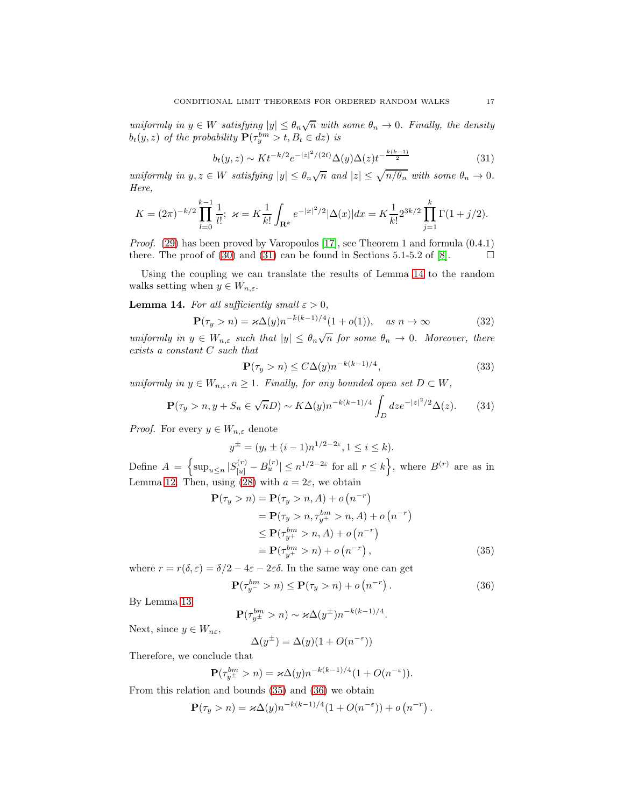uniformly in  $y \in W$  satisfying  $|y| \leq \theta_n \sqrt{n}$  with some  $\theta_n \to 0$ . Finally, the density  $b_t(y, z)$  of the probability  $\mathbf{P}(\tau_y^{bm} > t, B_t \in dz)$  is

<span id="page-16-0"></span>
$$
b_t(y, z) \sim K t^{-k/2} e^{-|z|^2/(2t)} \Delta(y) \Delta(z) t^{-\frac{k(k-1)}{2}}
$$
\n(31)

uniformly in  $y, z \in W$  satisfying  $|y| \leq \theta_n \sqrt{n}$  and  $|z| \leq \sqrt{n/\theta_n}$  with some  $\theta_n \to 0$ . Here,

$$
K = (2\pi)^{-k/2} \prod_{l=0}^{k-1} \frac{1}{l!}; \ \ \varkappa = K \frac{1}{k!} \int_{\mathbf{R}^k} e^{-|x|^2/2} |\Delta(x)| dx = K \frac{1}{k!} 2^{3k/2} \prod_{j=1}^k \Gamma(1+j/2).
$$

Proof. [\(29\)](#page-15-1) has been proved by Varopoulos [\[17\]](#page-25-15), see Theorem 1 and formula (0.4.1) there. The proof of [\(30\)](#page-15-2) and [\(31\)](#page-16-0) can be found in Sections 5.1-5.2 of [\[8\]](#page-25-16).  $\Box$ 

Using the coupling we can translate the results of Lemma [14](#page-16-1) to the random walks setting when  $y \in W_{n,\varepsilon}$ .

<span id="page-16-1"></span>**Lemma 14.** For all sufficiently small  $\varepsilon > 0$ ,

<span id="page-16-4"></span>
$$
\mathbf{P}(\tau_y > n) = \varkappa \Delta(y) n^{-k(k-1)/4} (1 + o(1)), \quad \text{as } n \to \infty \tag{32}
$$

uniformly in  $y \in W_{n,\varepsilon}$  such that  $|y| \leq \theta_n \sqrt{n}$  for some  $\theta_n \to 0$ . Moreover, there exists a constant C such that

<span id="page-16-5"></span>
$$
\mathbf{P}(\tau_y > n) \le C\Delta(y)n^{-k(k-1)/4},\tag{33}
$$

uniformly in  $y \in W_{n,\varepsilon}$ ,  $n \geq 1$ . Finally, for any bounded open set  $D \subset W$ ,

<span id="page-16-6"></span>
$$
\mathbf{P}(\tau_y > n, y + S_n \in \sqrt{n}D) \sim K\Delta(y)n^{-k(k-1)/4} \int_D dz e^{-|z|^2/2} \Delta(z).
$$
 (34)

*Proof.* For every  $y \in W_{n,\varepsilon}$  denote

$$
y^{\pm} = (y_i \pm (i-1)n^{1/2 - 2\varepsilon}, 1 \le i \le k).
$$

Define  $A = \left\{ \sup_{u \leq n} |S_{[u]}^{(r)} - B_u^{(r)}| \leq n^{1/2 - 2\varepsilon} \text{ for all } r \leq k \right\}$ , where  $B^{(r)}$  are as in Lemma [12.](#page-15-3) Then, using [\(28\)](#page-15-4) with  $a = 2\varepsilon$ , we obtain

$$
\mathbf{P}(\tau_y > n) = \mathbf{P}(\tau_y > n, A) + o(n^{-r})
$$
  
=  $\mathbf{P}(\tau_y > n, \tau_{y+}^{bm} > n, A) + o(n^{-r})$   
 $\leq \mathbf{P}(\tau_{y+}^{bm} > n, A) + o(n^{-r})$   
=  $\mathbf{P}(\tau_{y+}^{bm} > n) + o(n^{-r}),$  (35)

where  $r = r(\delta, \varepsilon) = \delta/2 - 4\varepsilon - 2\varepsilon\delta$ . In the same way one can get

<span id="page-16-3"></span>
$$
\mathbf{P}(\tau_{y^-}^{bm} > n) \le \mathbf{P}(\tau_y > n) + o\left(n^{-r}\right). \tag{36}
$$

By Lemma [13,](#page-15-5)

$$
\mathbf{P}(\tau_{y^{\pm}}^{bm} > n) \sim \varkappa \Delta(y^{\pm}) n^{-k(k-1)/4}.
$$

Next, since  $y \in W_{n\varepsilon}$ ,

<span id="page-16-2"></span>
$$
\Delta(y^{\pm}) = \Delta(y)(1 + O(n^{-\varepsilon}))
$$

Therefore, we conclude that

$$
\mathbf{P}(\tau_{y\pm}^{bm} > n) = \varkappa \Delta(y) n^{-k(k-1)/4} (1 + O(n^{-\varepsilon})).
$$

From this relation and bounds [\(35\)](#page-16-2) and [\(36\)](#page-16-3) we obtain

$$
\mathbf{P}(\tau_y > n) = \varkappa \Delta(y) n^{-k(k-1)/4} (1 + O(n^{-\varepsilon})) + o(n^{-r}).
$$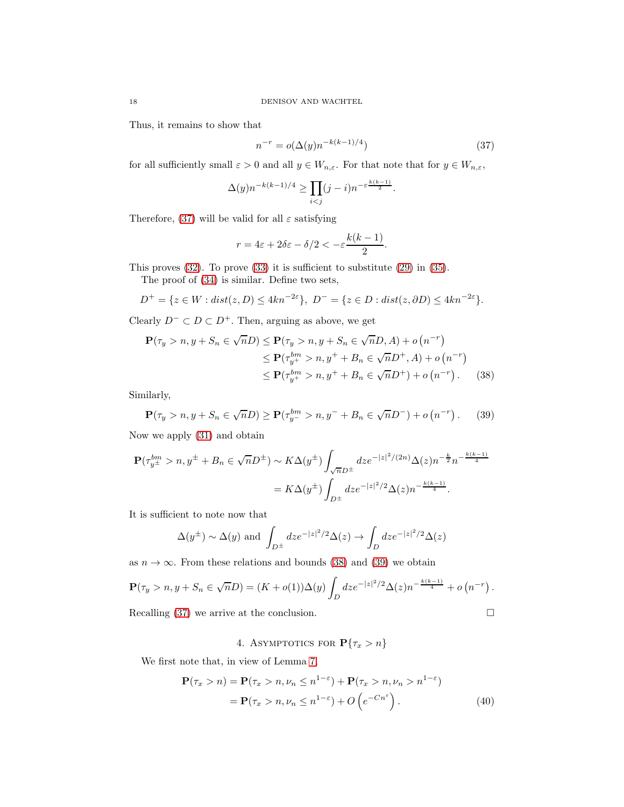Thus, it remains to show that

<span id="page-17-0"></span>
$$
n^{-r} = o(\Delta(y)n^{-k(k-1)/4})
$$
\n(37)

for all sufficiently small  $\varepsilon > 0$  and all  $y \in W_{n,\varepsilon}$ . For that note that for  $y \in W_{n,\varepsilon}$ ,

$$
\Delta(y)n^{-k(k-1)/4} \ge \prod_{i < j} (j-i)n^{-\varepsilon \frac{k(k-1)}{2}}.
$$

Therefore, [\(37\)](#page-17-0) will be valid for all  $\varepsilon$  satisfying

$$
r = 4\varepsilon + 2\delta\varepsilon - \delta/2 < -\varepsilon \frac{k(k-1)}{2}.
$$

This proves  $(32)$ . To prove  $(33)$  it is sufficient to substitute  $(29)$  in  $(35)$ .

The proof of [\(34\)](#page-16-6) is similar. Define two sets,

$$
D^{+} = \{ z \in W : dist(z, D) \leq 4kn^{-2\varepsilon} \}, D^{-} = \{ z \in D : dist(z, \partial D) \leq 4kn^{-2\varepsilon} \}.
$$

Clearly  $D^- \subset D \subset D^+$ . Then, arguing as above, we get

$$
\mathbf{P}(\tau_y > n, y + S_n \in \sqrt{n}D) \le \mathbf{P}(\tau_y > n, y + S_n \in \sqrt{n}D, A) + o(n^{-r})
$$
  
\n
$$
\le \mathbf{P}(\tau_{y^+}^{bm} > n, y^+ + B_n \in \sqrt{n}D^+, A) + o(n^{-r})
$$
  
\n
$$
\le \mathbf{P}(\tau_{y^+}^{bm} > n, y^+ + B_n \in \sqrt{n}D^+) + o(n^{-r}).
$$
 (38)

Similarly,

<span id="page-17-2"></span>
$$
\mathbf{P}(\tau_y > n, y + S_n \in \sqrt{n}D) \ge \mathbf{P}(\tau_{y^-}^{bm} > n, y^- + B_n \in \sqrt{n}D^{-}) + o(n^{-r}). \tag{39}
$$

Now we apply [\(31\)](#page-16-0) and obtain

$$
\mathbf{P}(\tau_{y^{\pm}}^{bm} > n, y^{\pm} + B_n \in \sqrt{n}D^{\pm}) \sim K\Delta(y^{\pm}) \int_{\sqrt{n}D^{\pm}} dz e^{-|z|^2/(2n)} \Delta(z) n^{-\frac{k}{2}} n^{-\frac{k(k-1)}{4}}
$$

$$
= K\Delta(y^{\pm}) \int_{D^{\pm}} dz e^{-|z|^2/2} \Delta(z) n^{-\frac{k(k-1)}{4}}.
$$

It is sufficient to note now that

$$
\Delta(y^{\pm}) \sim \Delta(y)
$$
 and  $\int_{D^{\pm}} dz e^{-|z|^2/2} \Delta(z) \to \int_{D} dz e^{-|z|^2/2} \Delta(z)$ 

as  $n \to \infty$ . From these relations and bounds [\(38\)](#page-17-1) and [\(39\)](#page-17-2) we obtain

$$
\mathbf{P}(\tau_y > n, y + S_n \in \sqrt{n}D) = (K + o(1))\Delta(y) \int_D dz e^{-|z|^2/2} \Delta(z) n^{-\frac{k(k-1)}{4}} + o(n^{-r}).
$$

Recalling [\(37\)](#page-17-0) we arrive at the conclusion.  $\square$ 

4. ASYMPTOTICS FOR  $\mathbf{P}\{\tau_x > n\}$ 

We first note that, in view of Lemma [7,](#page-9-1)

$$
\mathbf{P}(\tau_x > n) = \mathbf{P}(\tau_x > n, \nu_n \le n^{1-\epsilon}) + \mathbf{P}(\tau_x > n, \nu_n > n^{1-\epsilon})
$$
  
=  $\mathbf{P}(\tau_x > n, \nu_n \le n^{1-\epsilon}) + O\left(e^{-Cn^{\epsilon}}\right).$  (40)

<span id="page-17-3"></span><span id="page-17-1"></span>
$$
\sqcup
$$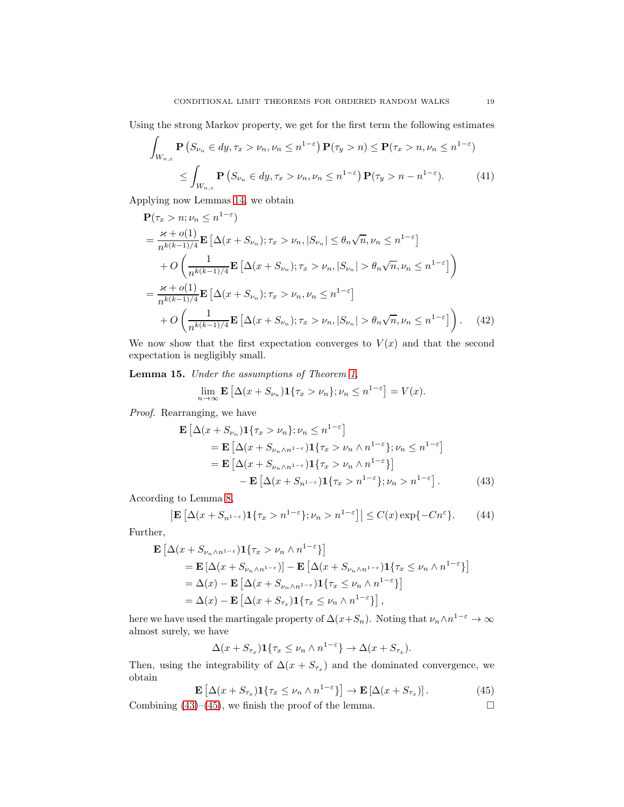Using the strong Markov property, we get for the first term the following estimates

$$
\int_{W_{n,\varepsilon}} \mathbf{P}\left(S_{\nu_n} \in dy, \tau_x > \nu_n, \nu_n \le n^{1-\varepsilon}\right) \mathbf{P}(\tau_y > n) \le \mathbf{P}(\tau_x > n, \nu_n \le n^{1-\varepsilon})
$$
\n
$$
\le \int_{W_{n,\varepsilon}} \mathbf{P}\left(S_{\nu_n} \in dy, \tau_x > \nu_n, \nu_n \le n^{1-\varepsilon}\right) \mathbf{P}(\tau_y > n - n^{1-\varepsilon}).\tag{41}
$$

Applying now Lemmas [14,](#page-16-1) we obtain

$$
\mathbf{P}(\tau_x > n; \nu_n \le n^{1-\epsilon})
$$
\n
$$
= \frac{\varkappa + o(1)}{n^{k(k-1)/4}} \mathbf{E} \left[ \Delta(x + S_{\nu_n}); \tau_x > \nu_n, |S_{\nu_n}| \le \theta_n \sqrt{n}, \nu_n \le n^{1-\epsilon} \right]
$$
\n
$$
+ O\left(\frac{1}{n^{k(k-1)/4}} \mathbf{E} \left[ \Delta(x + S_{\nu_n}); \tau_x > \nu_n, |S_{\nu_n}| > \theta_n \sqrt{n}, \nu_n \le n^{1-\epsilon} \right] \right)
$$
\n
$$
= \frac{\varkappa + o(1)}{n^{k(k-1)/4}} \mathbf{E} \left[ \Delta(x + S_{\nu_n}); \tau_x > \nu_n, \nu_n \le n^{1-\epsilon} \right]
$$
\n
$$
+ O\left(\frac{1}{n^{k(k-1)/4}} \mathbf{E} \left[ \Delta(x + S_{\nu_n}); \tau_x > \nu_n, |S_{\nu_n}| > \theta_n \sqrt{n}, \nu_n \le n^{1-\epsilon} \right] \right). \tag{42}
$$

We now show that the first expectation converges to  $V(x)$  and that the second expectation is negligibly small.

<span id="page-18-3"></span>Lemma 15. Under the assumptions of Theorem [1,](#page-2-0)

<span id="page-18-2"></span><span id="page-18-0"></span>
$$
\lim_{n \to \infty} \mathbf{E} \left[ \Delta(x + S_{\nu_n}) \mathbf{1} \{ \tau_x > \nu_n \}; \nu_n \le n^{1-\varepsilon} \right] = V(x).
$$

Proof. Rearranging, we have

$$
\mathbf{E} \left[ \Delta(x + S_{\nu_n}) \mathbf{1} \{ \tau_x > \nu_n \}; \nu_n \le n^{1-\varepsilon} \right]
$$
\n
$$
= \mathbf{E} \left[ \Delta(x + S_{\nu_n \wedge n^{1-\varepsilon}}) \mathbf{1} \{ \tau_x > \nu_n \wedge n^{1-\varepsilon} \}; \nu_n \le n^{1-\varepsilon} \right]
$$
\n
$$
= \mathbf{E} \left[ \Delta(x + S_{\nu_n \wedge n^{1-\varepsilon}}) \mathbf{1} \{ \tau_x > \nu_n \wedge n^{1-\varepsilon} \} \right]
$$
\n
$$
- \mathbf{E} \left[ \Delta(x + S_{n^{1-\varepsilon}}) \mathbf{1} \{ \tau_x > n^{1-\varepsilon} \}; \nu_n > n^{1-\varepsilon} \right]. \tag{43}
$$

According to Lemma [8,](#page-10-2)

$$
\left| \mathbf{E} \left[ \Delta(x + S_{n^{1-\varepsilon}}) \mathbf{1} \{ \tau_x > n^{1-\varepsilon} \}; \nu_n > n^{1-\varepsilon} \right] \right| \le C(x) \exp\{-Cn^{\varepsilon}\}. \tag{44}
$$

Further,

$$
\mathbf{E} \left[ \Delta(x + S_{\nu_n \wedge n^{1-\epsilon}}) \mathbf{1} \{ \tau_x > \nu_n \wedge n^{1-\epsilon} \} \right]
$$
\n
$$
= \mathbf{E} \left[ \Delta(x + S_{\nu_n \wedge n^{1-\epsilon}}) \right] - \mathbf{E} \left[ \Delta(x + S_{\nu_n \wedge n^{1-\epsilon}}) \mathbf{1} \{ \tau_x \le \nu_n \wedge n^{1-\epsilon} \} \right]
$$
\n
$$
= \Delta(x) - \mathbf{E} \left[ \Delta(x + S_{\nu_n \wedge n^{1-\epsilon}}) \mathbf{1} \{ \tau_x \le \nu_n \wedge n^{1-\epsilon} \} \right]
$$
\n
$$
= \Delta(x) - \mathbf{E} \left[ \Delta(x + S_{\tau_x}) \mathbf{1} \{ \tau_x \le \nu_n \wedge n^{1-\epsilon} \} \right],
$$

here we have used the martingale property of  $\Delta(x+S_n)$ . Noting that  $\nu_n \wedge n^{1-\varepsilon} \to \infty$ almost surely, we have

$$
\Delta(x + S_{\tau_x}) \mathbf{1}\{\tau_x \le \nu_n \wedge n^{1-\epsilon}\} \to \Delta(x + S_{\tau_x}).
$$

Then, using the integrability of  $\Delta(x + S_{\tau_x})$  and the dominated convergence, we obtain

<span id="page-18-1"></span>
$$
\mathbf{E}\left[\Delta(x+S_{\tau_x})\mathbf{1}\{\tau_x\leq\nu_n\wedge n^{1-\epsilon}\}\right]\to\mathbf{E}\left[\Delta(x+S_{\tau_x})\right].\tag{45}
$$

Combining  $(43)$ – $(45)$ , we finish the proof of the lemma.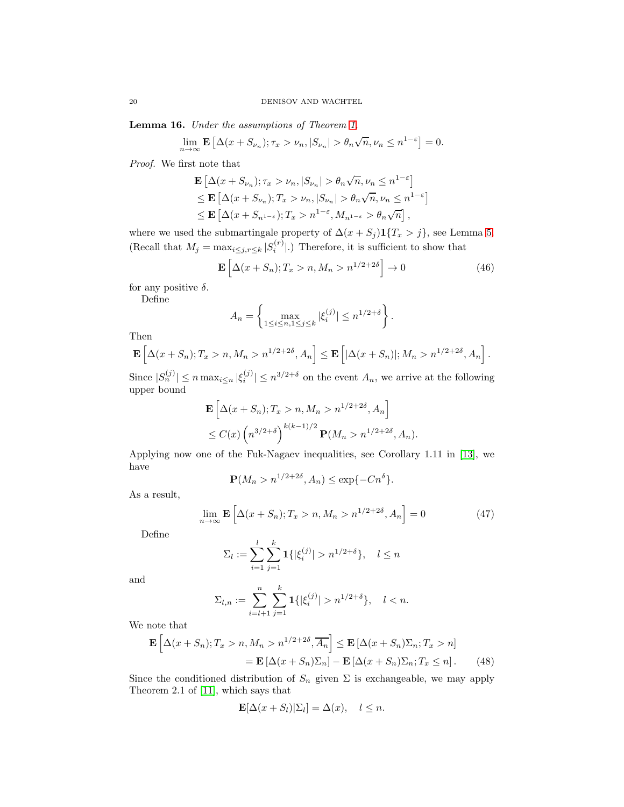Lemma 16. Under the assumptions of Theorem [1,](#page-2-0)

$$
\lim_{n \to \infty} \mathbf{E} \left[ \Delta(x + S_{\nu_n}); \tau_x > \nu_n, |S_{\nu_n}| > \theta_n \sqrt{n}, \nu_n \le n^{1-\varepsilon} \right] = 0.
$$

Proof. We first note that

$$
\mathbf{E} \left[ \Delta(x + S_{\nu_n}); \tau_x > \nu_n, |S_{\nu_n}| > \theta_n \sqrt{n}, \nu_n \le n^{1-\varepsilon} \right]
$$
  
\n
$$
\le \mathbf{E} \left[ \Delta(x + S_{\nu_n}); T_x > \nu_n, |S_{\nu_n}| > \theta_n \sqrt{n}, \nu_n \le n^{1-\varepsilon} \right]
$$
  
\n
$$
\le \mathbf{E} \left[ \Delta(x + S_{n^{1-\varepsilon}}); T_x > n^{1-\varepsilon}, M_{n^{1-\varepsilon}} > \theta_n \sqrt{n} \right],
$$

where we used the submartingale property of  $\Delta(x + S_j) \mathbf{1}\{T_x > j\}$ , see Lemma [5.](#page-5-2) (Recall that  $M_j = \max_{i \leq j, r \leq k} |S_i^{(r)}|$ .) Therefore, it is sufficient to show that

<span id="page-19-2"></span>
$$
\mathbf{E}\left[\Delta(x+S_n);T_x > n, M_n > n^{1/2+2\delta}\right] \to 0\tag{46}
$$

for any positive  $\delta$ .

Define

$$
A_n = \left\{ \max_{1 \le i \le n, 1 \le j \le k} |\xi_i^{(j)}| \le n^{1/2 + \delta} \right\}.
$$

Then

$$
\mathbf{E}\left[\Delta(x+S_n);T_x>n,M_n>n^{1/2+2\delta},A_n\right]\leq \mathbf{E}\left[|\Delta(x+S_n)|;M_n>n^{1/2+2\delta},A_n\right].
$$

Since  $|S_n^{(j)}| \le n \max_{i \le n} |\xi_i^{(j)}| \le n^{3/2+\delta}$  on the event  $A_n$ , we arrive at the following upper bound

$$
\mathbf{E}\left[\Delta(x+S_n); T_x > n, M_n > n^{1/2+2\delta}, A_n\right]
$$
  
\$\leq C(x) \left(n^{3/2+\delta}\right)^{k(k-1)/2} \mathbf{P}(M\_n > n^{1/2+2\delta}, A\_n).

Applying now one of the Fuk-Nagaev inequalities, see Corollary 1.11 in [\[13\]](#page-25-12), we have

$$
\mathbf{P}(M_n > n^{1/2+2\delta}, A_n) \le \exp\{-Cn^{\delta}\}.
$$

As a result,

<span id="page-19-1"></span>
$$
\lim_{n \to \infty} \mathbf{E} \left[ \Delta(x + S_n); T_x > n, M_n > n^{1/2 + 2\delta}, A_n \right] = 0 \tag{47}
$$

Define

$$
\Sigma_l := \sum_{i=1}^l \sum_{j=1}^k \mathbf{1}\{|\xi_i^{(j)}| > n^{1/2+\delta}\}, \quad l \le n
$$

and

$$
\Sigma_{l,n} := \sum_{i=l+1}^{n} \sum_{j=1}^{k} \mathbf{1}\{|\xi_i^{(j)}| > n^{1/2+\delta}\}, \quad l < n.
$$

We note that

$$
\mathbf{E}\left[\Delta(x+S_n);T_x > n, M_n > n^{1/2+2\delta}, \overline{A_n}\right] \le \mathbf{E}\left[\Delta(x+S_n)\Sigma_n; T_x > n\right]
$$

$$
= \mathbf{E}\left[\Delta(x+S_n)\Sigma_n\right] - \mathbf{E}\left[\Delta(x+S_n)\Sigma_n; T_x \le n\right]. \tag{48}
$$

Since the conditioned distribution of  $S_n$  given  $\Sigma$  is exchangeable, we may apply Theorem 2.1 of [\[11\]](#page-25-3), which says that

<span id="page-19-0"></span>
$$
\mathbf{E}[\Delta(x+S_l)|\Sigma_l] = \Delta(x), \quad l \leq n.
$$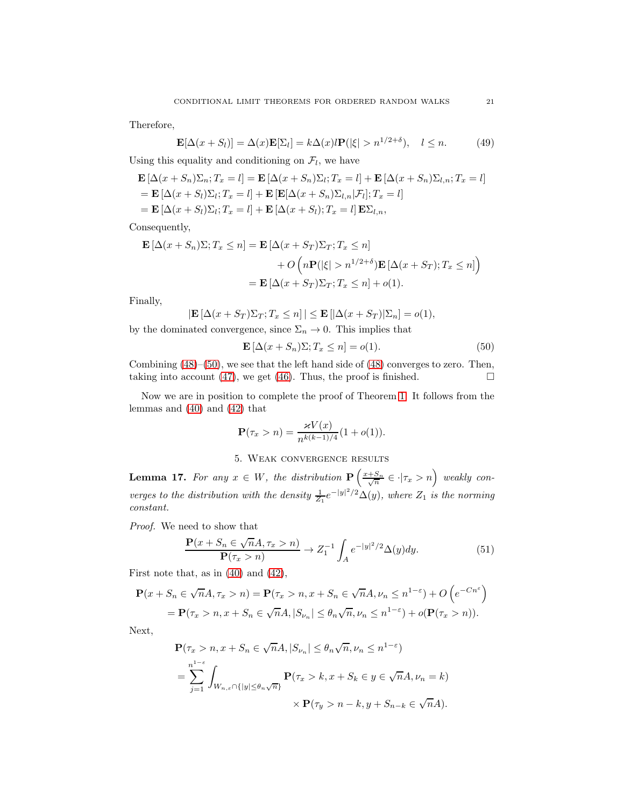Therefore,

$$
\mathbf{E}[\Delta(x+S_l)] = \Delta(x)\mathbf{E}[\Sigma_l] = k\Delta(x)l\mathbf{P}(|\xi| > n^{1/2+\delta}), \quad l \le n. \tag{49}
$$

Using this equality and conditioning on  $\mathcal{F}_l$ , we have

$$
\mathbf{E} [\Delta(x+S_n)\Sigma_n; T_x = l] = \mathbf{E} [\Delta(x+S_n)\Sigma_l; T_x = l] + \mathbf{E} [\Delta(x+S_n)\Sigma_{l,n}; T_x = l]
$$
  
=  $\mathbf{E} [\Delta(x+S_l)\Sigma_l; T_x = l] + \mathbf{E} [\mathbf{E} [\Delta(x+S_n)\Sigma_{l,n}|\mathcal{F}_l]; T_x = l]$   
=  $\mathbf{E} [\Delta(x+S_l)\Sigma_l; T_x = l] + \mathbf{E} [\Delta(x+S_l); T_x = l] \mathbf{E} \Sigma_{l,n},$ 

Consequently,

$$
\mathbf{E} [\Delta(x + S_n)\Sigma; T_x \le n] = \mathbf{E} [\Delta(x + S_T)\Sigma_T; T_x \le n] + O\left(n\mathbf{P}(|\xi| > n^{1/2+\delta})\mathbf{E} [\Delta(x + S_T); T_x \le n]\right) = \mathbf{E} [\Delta(x + S_T)\Sigma_T; T_x \le n] + o(1).
$$

Finally,

$$
|\mathbf{E}\left[\Delta(x+S_T)\Sigma_T; T_x \leq n\right]| \leq \mathbf{E}\left[|\Delta(x+S_T)|\Sigma_n\right] = o(1),
$$

by the dominated convergence, since  $\Sigma_n \to 0$ . This implies that

<span id="page-20-0"></span>
$$
\mathbf{E}\left[\Delta(x+S_n)\Sigma; T_x \le n\right] = o(1). \tag{50}
$$

Combining [\(48\)](#page-19-0)–[\(50\)](#page-20-0), we see that the left hand side of [\(48\)](#page-19-0) converges to zero. Then, taking into account [\(47\)](#page-19-1), we get [\(46\)](#page-19-2). Thus, the proof is finished.  $\square$ 

Now we are in position to complete the proof of Theorem [1.](#page-2-0) It follows from the lemmas and [\(40\)](#page-17-3) and [\(42\)](#page-18-2) that

$$
\mathbf{P}(\tau_x > n) = \frac{\varkappa V(x)}{n^{k(k-1)/4}} (1 + o(1)).
$$

## 5. Weak convergence results

**Lemma 17.** For any  $x \in W$ , the distribution  $\mathbf{P}\left(\frac{x+S_n}{\sqrt{n}} \in \cdot | \tau_x > n\right)$  weakly converges to the distribution with the density  $\frac{1}{Z_1}e^{-|y|^2/2}\Delta(y)$ , where  $Z_1$  is the norming constant.

Proof. We need to show that

<span id="page-20-1"></span>
$$
\frac{\mathbf{P}(x+S_n \in \sqrt{n}A, \tau_x > n)}{\mathbf{P}(\tau_x > n)} \to Z_1^{-1} \int_A e^{-|y|^2/2} \Delta(y) dy. \tag{51}
$$

First note that, as in [\(40\)](#page-17-3) and [\(42\)](#page-18-2),

$$
\mathbf{P}(x+S_n \in \sqrt{n}A, \tau_x > n) = \mathbf{P}(\tau_x > n, x+S_n \in \sqrt{n}A, \nu_n \le n^{1-\epsilon}) + O\left(e^{-Cn^{\epsilon}}\right)
$$
  
=  $\mathbf{P}(\tau_x > n, x+S_n \in \sqrt{n}A, |S_{\nu_n}| \le \theta_n\sqrt{n}, \nu_n \le n^{1-\epsilon}) + o(\mathbf{P}(\tau_x > n)).$ 

Next,

$$
\mathbf{P}(\tau_x > n, x + S_n \in \sqrt{n}A, |S_{\nu_n}| \le \theta_n \sqrt{n}, \nu_n \le n^{1-\epsilon})
$$
  
= 
$$
\sum_{j=1}^{n^{1-\epsilon}} \int_{W_{n,\epsilon} \cap \{|y| \le \theta_n \sqrt{n}\}} \mathbf{P}(\tau_x > k, x + S_k \in y \in \sqrt{n}A, \nu_n = k)
$$
  

$$
\times \mathbf{P}(\tau_y > n - k, y + S_{n-k} \in \sqrt{n}A).
$$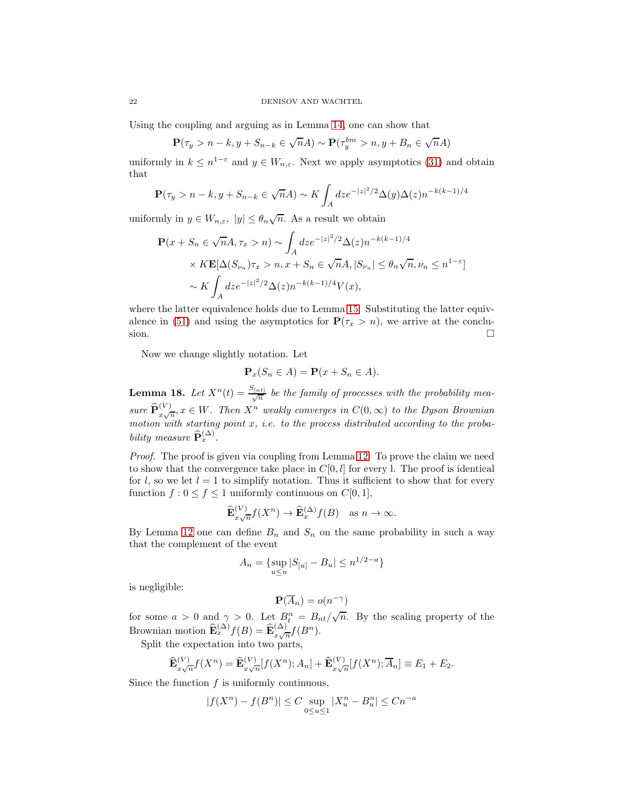Using the coupling and arguing as in Lemma [14,](#page-16-1) one can show that

$$
\mathbf{P}(\tau_y > n-k, y+S_{n-k} \in \sqrt{n}A) \sim \mathbf{P}(\tau_y^{bm} > n, y+B_n \in \sqrt{n}A)
$$

uniformly in  $k \leq n^{1-\varepsilon}$  and  $y \in W_{n,\varepsilon}$ . Next we apply asymptotics [\(31\)](#page-16-0) and obtain that

$$
\mathbf{P}(\tau_y > n-k, y+S_{n-k} \in \sqrt{n}A) \sim K \int_A dz e^{-|z|^2/2} \Delta(y) \Delta(z) n^{-k(k-1)/4}
$$

uniformly in  $y \in W_{n,\varepsilon}$ ,  $|y| \leq \theta_n \sqrt{n}$ . As a result we obtain

$$
\mathbf{P}(x+S_n \in \sqrt{n}A, \tau_x > n) \sim \int_A dz e^{-|z|^2/2} \Delta(z) n^{-k(k-1)/4}
$$
  
×  $K \mathbf{E}[\Delta(S_{\nu_n}) \tau_x > n, x+S_n \in \sqrt{n}A, |S_{\nu_n}| \le \theta_n \sqrt{n}, \nu_n \le n^{1-\varepsilon}]$   
~  $\sim K \int_A dz e^{-|z|^2/2} \Delta(z) n^{-k(k-1)/4} V(x),$ 

where the latter equivalence holds due to Lemma [15.](#page-18-3) Substituting the latter equiv-alence in [\(51\)](#page-20-1) and using the asymptotics for  $P(\tau_x > n)$ , we arrive at the conclusion.  $\Box$ 

Now we change slightly notation. Let

$$
\mathbf{P}_x(S_n \in A) = \mathbf{P}(x + S_n \in A).
$$

<span id="page-21-0"></span>**Lemma 18.** Let  $X^n(t) = \frac{S_{[nt]}}{\sqrt{n}}$  be the family of processes with the probability measure  $\widehat{\mathbf{P}}_{x\sqrt{n}}^{(V)}$ ,  $x \in W$ . Then  $X^n$  weakly converges in  $C(0,\infty)$  to the Dyson Brownian motion with starting point  $x$ , i.e. to the process distributed according to the probability measure  $\widehat{\mathbf{P}}_x^{(\Delta)}$ .

Proof. The proof is given via coupling from Lemma [12.](#page-15-3) To prove the claim we need to show that the convergence take place in  $C[0, l]$  for every l. The proof is identical for l, so we let  $l = 1$  to simplify notation. Thus it sufficient to show that for every function  $f : 0 \le f \le 1$  uniformly continuous on  $C[0, 1]$ ,

$$
\widehat{\mathbf{E}}_{x\sqrt{n}}^{(V)} f(X^n) \to \widehat{\mathbf{E}}_x^{(\Delta)} f(B) \quad \text{as } n \to \infty.
$$

By Lemma [12](#page-15-3) one can define  $B_n$  and  $S_n$  on the same probability in such a way that the complement of the event

$$
A_n = \{ \sup_{u \le n} |S_{[u]} - B_u| \le n^{1/2 - a} \}
$$

is negligible:

$$
\mathbf{P}(\overline{A}_n) = o(n^{-\gamma})
$$

for some  $a > 0$  and  $\gamma > 0$ . Let  $B_t^n = B_{nt}/\sqrt{n}$ . By the scaling property of the Brownian motion  $\widehat{\mathbf{E}}_x^{(\Delta)} f(B) = \widehat{\mathbf{E}}_{x\sqrt{n}}^{(\Delta)} f(B^n)$ .

Split the expectation into two parts,

$$
\widehat{\mathbf{E}}_{x\sqrt{n}}^{(V)}f(X^n) = \widehat{\mathbf{E}}_{x\sqrt{n}}^{(V)}[f(X^n);A_n] + \widehat{\mathbf{E}}_{x\sqrt{n}}^{(V)}[f(X^n);A_n] \equiv E_1 + E_2.
$$

Since the function  $f$  is uniformly continuous,

$$
|f(X^n) - f(B^n)| \le C \sup_{0 \le u \le 1} |X_u^n - B_u^n| \le Cn^{-a}
$$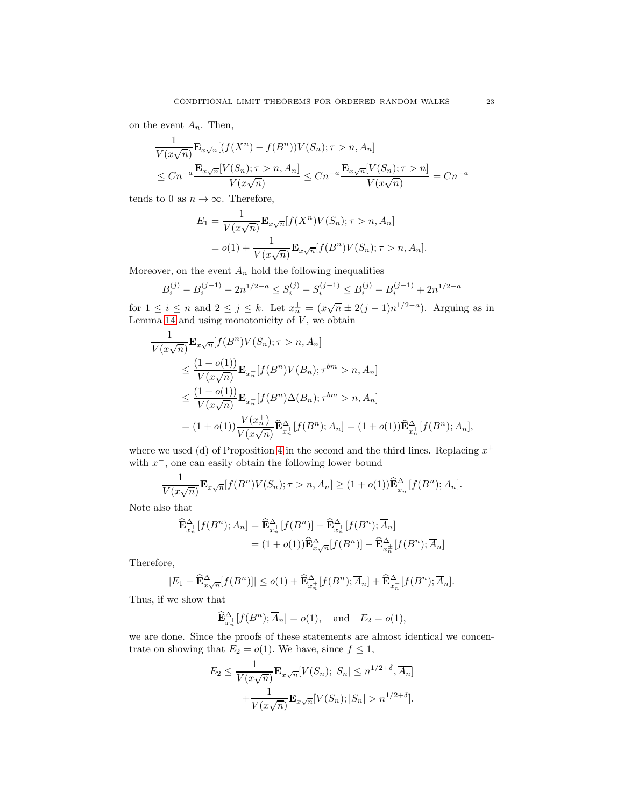on the event  $A_n$ . Then,

$$
\frac{1}{V(x\sqrt{n})}\mathbf{E}_{x\sqrt{n}}[(f(X^n) - f(B^n))V(S_n); \tau > n, A_n]
$$
\n
$$
\le Cn^{-a}\frac{\mathbf{E}_{x\sqrt{n}}[V(S_n); \tau > n, A_n]}{V(x\sqrt{n})} \le Cn^{-a}\frac{\mathbf{E}_{x\sqrt{n}}[V(S_n); \tau > n]}{V(x\sqrt{n})} = Cn^{-a}
$$

tends to 0 as  $n \to \infty$ . Therefore,

$$
E_1 = \frac{1}{V(x\sqrt{n})} \mathbf{E}_{x\sqrt{n}}[f(X^n)V(S_n); \tau > n, A_n]
$$
  
=  $o(1) + \frac{1}{V(x\sqrt{n})} \mathbf{E}_{x\sqrt{n}}[f(B^n)V(S_n); \tau > n, A_n].$ 

Moreover, on the event  $A_n$  hold the following inequalities

$$
B_i^{(j)}-B_i^{(j-1)}-2n^{1/2-a}\leq S_i^{(j)}-S_i^{(j-1)}\leq B_i^{(j)}-B_i^{(j-1)}+2n^{1/2-a}
$$

for  $1 \leq i \leq n$  and  $2 \leq j \leq k$ . Let  $x_n^{\pm} = (x\sqrt{n} \pm 2(j-1)n^{1/2-a})$ . Arguing as in Lemma [14](#page-16-1) and using monotonicity of  $V$ , we obtain

$$
\frac{1}{V(x\sqrt{n})} \mathbf{E}_{x\sqrt{n}}[f(B^n)V(S_n); \tau > n, A_n]
$$
\n
$$
\leq \frac{(1+o(1))}{V(x\sqrt{n})} \mathbf{E}_{x_n^+}[f(B^n)V(B_n); \tau^{bm} > n, A_n]
$$
\n
$$
\leq \frac{(1+o(1))}{V(x\sqrt{n})} \mathbf{E}_{x_n^+}[f(B^n)\Delta(B_n); \tau^{bm} > n, A_n]
$$
\n
$$
= (1+o(1)) \frac{V(x_n^+)}{V(x\sqrt{n})} \widehat{\mathbf{E}}_{x_n^+}^{\Delta}[f(B^n); A_n] = (1+o(1)) \widehat{\mathbf{E}}_{x_n^+}^{\Delta}[f(B^n); A_n],
$$

where we used (d) of Proposition [4](#page-5-4) in the second and the third lines. Replacing  $x^+$ with  $x^-$ , one can easily obtain the following lower bound

$$
\frac{1}{V(x\sqrt{n})} \mathbf{E}_{x\sqrt{n}}[f(B^n)V(S_n); \tau > n, A_n] \ge (1 + o(1)) \widehat{\mathbf{E}}_{x_n}^{\Delta}[f(B^n); A_n].
$$

Note also that

$$
\widehat{\mathbf{E}}_{x_n^{\pm}}^{\Delta} [f(B^n); A_n] = \widehat{\mathbf{E}}_{x_n^{\pm}}^{\Delta} [f(B^n)] - \widehat{\mathbf{E}}_{x_n^{\pm}}^{\Delta} [f(B^n); \overline{A}_n]
$$

$$
= (1 + o(1)) \widehat{\mathbf{E}}_{x\sqrt{n}}^{\Delta} [f(B^n)] - \widehat{\mathbf{E}}_{x_n^{\pm}}^{\Delta} [f(B^n); \overline{A}_n]
$$

Therefore,

$$
|E_1 - \widehat{\mathbf{E}}_{x\sqrt{n}}^{\Delta}[f(B^n)]| \leq o(1) + \widehat{\mathbf{E}}_{x_n^+}^{\Delta}[f(B^n); \overline{A}_n] + \widehat{\mathbf{E}}_{x_n}^{\Delta}[f(B^n); \overline{A}_n].
$$

Thus, if we show that

$$
\widehat{\mathbf{E}}_{x_n^{\pm}}^{\Delta} [f(B^n); \overline{A}_n] = o(1), \text{ and } E_2 = o(1),
$$

we are done. Since the proofs of these statements are almost identical we concentrate on showing that  $E_2 = o(1)$ . We have, since  $f \leq 1$ ,

$$
E_2 \le \frac{1}{V(x\sqrt{n})} \mathbf{E}_{x\sqrt{n}}[V(S_n); |S_n| \le n^{1/2+\delta}, \overline{A_n}] + \frac{1}{V(x\sqrt{n})} \mathbf{E}_{x\sqrt{n}}[V(S_n); |S_n| > n^{1/2+\delta}].
$$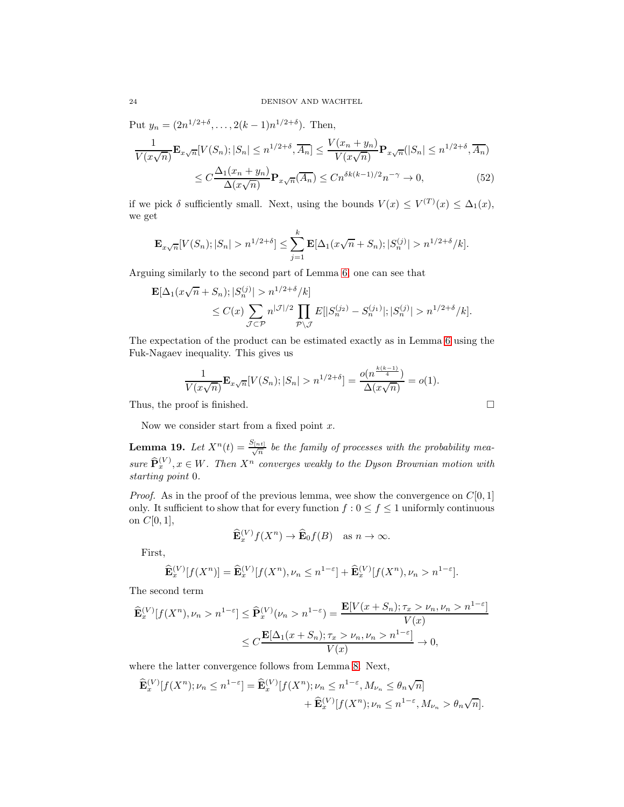Put  $y_n = (2n^{1/2+\delta}, \ldots, 2(k-1)n^{1/2+\delta})$ . Then,

$$
\frac{1}{V(x\sqrt{n})} \mathbf{E}_{x\sqrt{n}}[V(S_n); |S_n| \le n^{1/2+\delta}, \overline{A_n}] \le \frac{V(x_n + y_n)}{V(x\sqrt{n})} \mathbf{P}_{x\sqrt{n}}(|S_n| \le n^{1/2+\delta}, \overline{A_n})
$$

$$
\le C \frac{\Delta_1(x_n + y_n)}{\Delta(x\sqrt{n})} \mathbf{P}_{x\sqrt{n}}(\overline{A_n}) \le C n^{\delta k(k-1)/2} n^{-\gamma} \to 0,
$$
(52)

if we pick  $\delta$  sufficiently small. Next, using the bounds  $V(x) \leq V^{(T)}(x) \leq \Delta_1(x)$ , we get

$$
\mathbf{E}_{x\sqrt{n}}[V(S_n); |S_n| > n^{1/2+\delta}] \le \sum_{j=1}^k \mathbf{E}[\Delta_1(x\sqrt{n} + S_n); |S_n^{(j)}| > n^{1/2+\delta}/k].
$$

Arguing similarly to the second part of Lemma [6,](#page-5-3) one can see that

$$
\mathbf{E}[\Delta_1(x\sqrt{n}+S_n);|S_n^{(j)}|>n^{1/2+\delta}/k] \leq C(x)\sum_{\mathcal{J}\subset\mathcal{P}} n^{|\mathcal{J}|/2} \prod_{\mathcal{P}\backslash\mathcal{J}} E[|S_n^{(j_2)}-S_n^{(j_1)}|;|S_n^{(j)}|>n^{1/2+\delta}/k].
$$

The expectation of the product can be estimated exactly as in Lemma [6](#page-5-3) using the Fuk-Nagaev inequality. This gives us

$$
\frac{1}{V(x\sqrt{n})}\mathbf{E}_{x\sqrt{n}}[V(S_n); |S_n| > n^{1/2+\delta}] = \frac{o(n^{\frac{k(k-1)}{4}})}{\Delta(x\sqrt{n})} = o(1).
$$
  
Thus, the proof is finished.

Now we consider start from a fixed point  $x$ .

**Lemma 19.** Let  $X^n(t) = \frac{S_{[nt]}}{\sqrt{n}}$  be the family of processes with the probability measure  $\widehat{\mathbf{P}}_x^{(V)}$ ,  $x \in W$ . Then  $X^n$  converges weakly to the Dyson Brownian motion with starting point 0.

*Proof.* As in the proof of the previous lemma, wee show the convergence on  $C[0, 1]$ only. It sufficient to show that for every function  $f: 0 \le f \le 1$  uniformly continuous on  $C[0, 1]$ ,

$$
\widehat{\mathbf{E}}_x^{(V)} f(X^n) \to \widehat{\mathbf{E}}_0 f(B) \quad \text{as } n \to \infty.
$$

First,

$$
\widehat{\mathbf{E}}_x^{(V)}[f(X^n)] = \widehat{\mathbf{E}}_x^{(V)}[f(X^n), \nu_n \le n^{1-\varepsilon}] + \widehat{\mathbf{E}}_x^{(V)}[f(X^n), \nu_n > n^{1-\varepsilon}].
$$

The second term

$$
\begin{aligned} \widehat{\mathbf{E}}_x^{(V)}[f(X^n), \nu_n > n^{1-\varepsilon} \le \widehat{\mathbf{P}}_x^{(V)}(\nu_n > n^{1-\varepsilon}) = \frac{\mathbf{E}[V(x+S_n); \tau_x > \nu_n, \nu_n > n^{1-\varepsilon}]}{V(x)} \\ &\le C \frac{\mathbf{E}[\Delta_1(x+S_n); \tau_x > \nu_n, \nu_n > n^{1-\varepsilon}]}{V(x)} \to 0, \end{aligned}
$$

where the latter convergence follows from Lemma [8.](#page-10-2) Next,

$$
\begin{aligned} \widehat{\mathbf{E}}_x^{(V)}[f(X^n); \nu_n \le n^{1-\varepsilon}] &= \widehat{\mathbf{E}}_x^{(V)}[f(X^n); \nu_n \le n^{1-\varepsilon}, M_{\nu_n} \le \theta_n \sqrt{n}] \\ &+ \widehat{\mathbf{E}}_x^{(V)}[f(X^n); \nu_n \le n^{1-\varepsilon}, M_{\nu_n} > \theta_n \sqrt{n}]. \end{aligned}
$$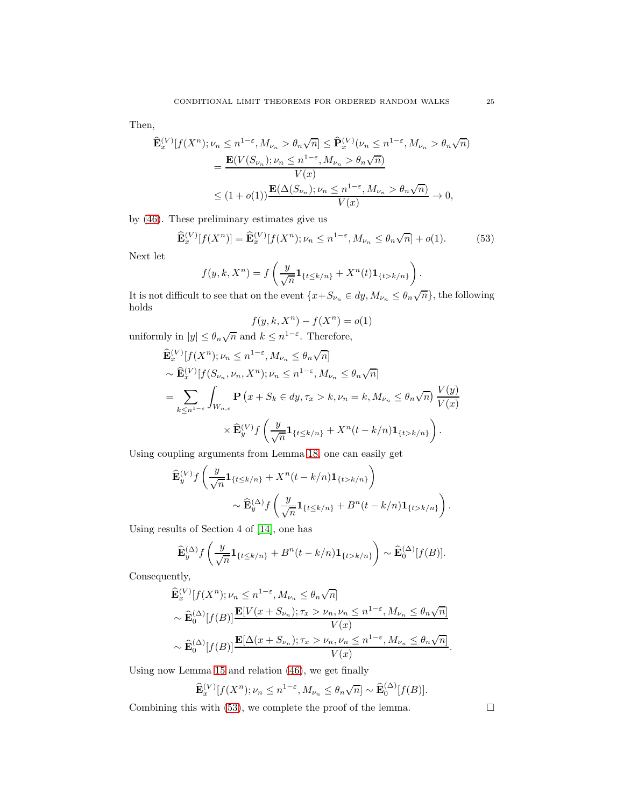Then,

$$
\begin{split} \widehat{\mathbf{E}}_{x}^{(V)}[f(X^{n}); \nu_{n} &\leq n^{1-\varepsilon}, M_{\nu_{n}} > \theta_{n}\sqrt{n}] \leq \widehat{\mathbf{P}}_{x}^{(V)}(\nu_{n} \leq n^{1-\varepsilon}, M_{\nu_{n}} > \theta_{n}\sqrt{n}) \\ & = \frac{\mathbf{E}(V(S_{\nu_{n}}); \nu_{n} \leq n^{1-\varepsilon}, M_{\nu_{n}} > \theta_{n}\sqrt{n})}{V(x)} \\ &\leq (1+o(1))\frac{\mathbf{E}(\Delta(S_{\nu_{n}}); \nu_{n} \leq n^{1-\varepsilon}, M_{\nu_{n}} > \theta_{n}\sqrt{n})}{V(x)} \to 0, \end{split}
$$

by [\(46\)](#page-19-2). These preliminary estimates give us

$$
\widehat{\mathbf{E}}_x^{(V)}[f(X^n)] = \widehat{\mathbf{E}}_x^{(V)}[f(X^n); \nu_n \le n^{1-\varepsilon}, M_{\nu_n} \le \theta_n \sqrt{n}] + o(1). \tag{53}
$$

Next let

$$
f(y,k,X^n) = f\left(\frac{y}{\sqrt{n}}\mathbf{1}_{\{t\leq k/n\}} + X^n(t)\mathbf{1}_{\{t> k/n\}}\right).
$$

It is not difficult to see that on the event  $\{x+S_{\nu_n} \in dy, M_{\nu_n} \leq \theta_n \sqrt{n}\}$ , the following holds

<span id="page-24-0"></span>
$$
f(y, k, X^n) - f(X^n) = o(1)
$$

uniformly in  $|y| \leq \theta_n \sqrt{n}$  and  $k \leq n^{1-\varepsilon}$ . Therefore,

$$
\widehat{\mathbf{E}}_{x}^{(V)}[f(X^{n}); \nu_{n} \leq n^{1-\varepsilon}, M_{\nu_{n}} \leq \theta_{n}\sqrt{n}]
$$
\n
$$
\sim \widehat{\mathbf{E}}_{x}^{(V)}[f(S_{\nu_{n}}, \nu_{n}, X^{n}); \nu_{n} \leq n^{1-\varepsilon}, M_{\nu_{n}} \leq \theta_{n}\sqrt{n}]
$$
\n
$$
= \sum_{k \leq n^{1-\varepsilon}} \int_{W_{n,\varepsilon}} \mathbf{P}(x + S_{k} \in dy, \tau_{x} > k, \nu_{n} = k, M_{\nu_{n}} \leq \theta_{n}\sqrt{n}) \frac{V(y)}{V(x)}
$$
\n
$$
\times \widehat{\mathbf{E}}_{y}^{(V)}f\left(\frac{y}{\sqrt{n}}\mathbf{1}_{\{t \leq k/n\}} + X^{n}(t-k/n)\mathbf{1}_{\{t > k/n\}}\right).
$$

Using coupling arguments from Lemma [18,](#page-21-0) one can easily get

$$
\widehat{\mathbf{E}}_{y}^{(V)} f\left(\frac{y}{\sqrt{n}} \mathbf{1}_{\{t \le k/n\}} + X^{n}(t-k/n) \mathbf{1}_{\{t > k/n\}}\right) \sim \widehat{\mathbf{E}}_{y}^{(\Delta)} f\left(\frac{y}{\sqrt{n}} \mathbf{1}_{\{t \le k/n\}} + B^{n}(t-k/n) \mathbf{1}_{\{t > k/n\}}\right).
$$

Using results of Section 4 of [\[14\]](#page-25-2), one has

$$
\widehat{\mathbf{E}}_y^{(\Delta)} f\left(\frac{y}{\sqrt{n}}\mathbf{1}_{\{t\leq k/n\}} + B^n(t-k/n)\mathbf{1}_{\{t>k/n\}}\right) \sim \widehat{\mathbf{E}}_0^{(\Delta)}[f(B)].
$$

Consequently,

$$
\widehat{\mathbf{E}}_{x}^{(V)}[f(X^{n}); \nu_{n} \leq n^{1-\varepsilon}, M_{\nu_{n}} \leq \theta_{n}\sqrt{n}] \n\sim \widehat{\mathbf{E}}_{0}^{(\Delta)}[f(B)] \frac{\mathbf{E}[V(x+S_{\nu_{n}}); \tau_{x} > \nu_{n}, \nu_{n} \leq n^{1-\varepsilon}, M_{\nu_{n}} \leq \theta_{n}\sqrt{n}]}{V(x)} \n\sim \widehat{\mathbf{E}}_{0}^{(\Delta)}[f(B)] \frac{\mathbf{E}[\Delta(x+S_{\nu_{n}}); \tau_{x} > \nu_{n}, \nu_{n} \leq n^{1-\varepsilon}, M_{\nu_{n}} \leq \theta_{n}\sqrt{n}]}{V(x)}.
$$

Using now Lemma [15](#page-18-3) and relation [\(46\)](#page-19-2), we get finally

$$
\widehat{\mathbf{E}}_x^{(V)}[f(X^n); \nu_n \le n^{1-\varepsilon}, M_{\nu_n} \le \theta_n \sqrt{n}] \sim \widehat{\mathbf{E}}_0^{(\Delta)}[f(B)].
$$

Combining this with  $(53)$ , we complete the proof of the lemma.  $\Box$